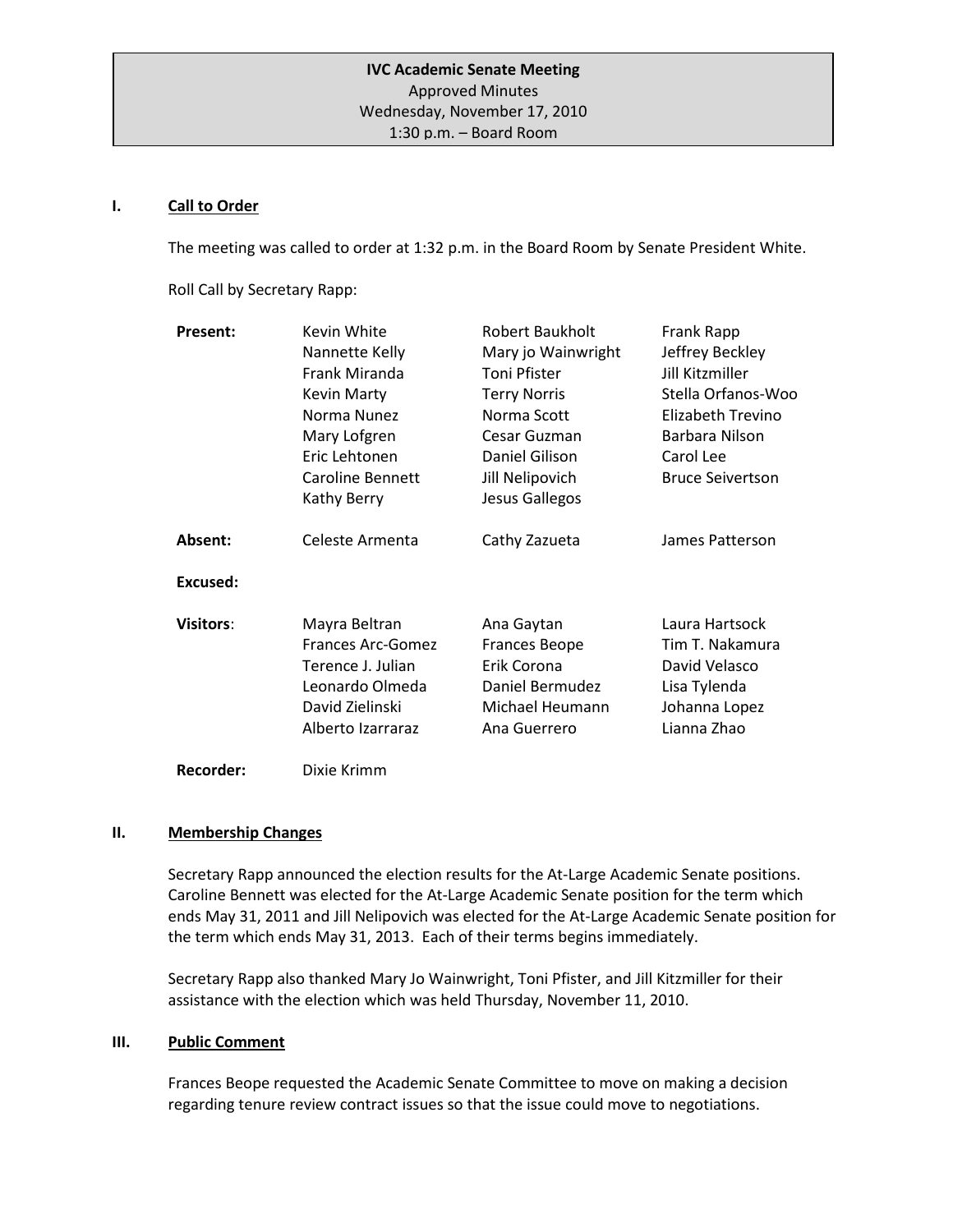#### **I. Call to Order**

The meeting was called to order at 1:32 p.m. in the Board Room by Senate President White.

Roll Call by Secretary Rapp:

| <b>Present:</b>  | Kevin White       | Robert Baukholt      | Frank Rapp              |
|------------------|-------------------|----------------------|-------------------------|
|                  | Nannette Kelly    | Mary jo Wainwright   | Jeffrey Beckley         |
|                  | Frank Miranda     | Toni Pfister         | Jill Kitzmiller         |
|                  | Kevin Marty       | <b>Terry Norris</b>  | Stella Orfanos-Woo      |
|                  | Norma Nunez       | Norma Scott          | Elizabeth Trevino       |
|                  | Mary Lofgren      | Cesar Guzman         | Barbara Nilson          |
|                  | Eric Lehtonen     | Daniel Gilison       | Carol Lee               |
|                  | Caroline Bennett  | Jill Nelipovich      | <b>Bruce Seivertson</b> |
|                  | Kathy Berry       | Jesus Gallegos       |                         |
| Absent:          | Celeste Armenta   | Cathy Zazueta        | James Patterson         |
| Excused:         |                   |                      |                         |
| <b>Visitors:</b> | Mayra Beltran     | Ana Gaytan           | Laura Hartsock          |
|                  | Frances Arc-Gomez | <b>Frances Beope</b> | Tim T. Nakamura         |
|                  | Terence J. Julian | Erik Corona          | David Velasco           |
|                  | Leonardo Olmeda   | Daniel Bermudez      | Lisa Tylenda            |
|                  | David Zielinski   | Michael Heumann      | Johanna Lopez           |
|                  | Alberto Izarraraz | Ana Guerrero         | Lianna Zhao             |
| <b>Recorder:</b> | Dixie Krimm       |                      |                         |

#### **II. Membership Changes**

Secretary Rapp announced the election results for the At-Large Academic Senate positions. Caroline Bennett was elected for the At-Large Academic Senate position for the term which ends May 31, 2011 and Jill Nelipovich was elected for the At-Large Academic Senate position for the term which ends May 31, 2013. Each of their terms begins immediately.

Secretary Rapp also thanked Mary Jo Wainwright, Toni Pfister, and Jill Kitzmiller for their assistance with the election which was held Thursday, November 11, 2010.

#### **III. Public Comment**

Frances Beope requested the Academic Senate Committee to move on making a decision regarding tenure review contract issues so that the issue could move to negotiations.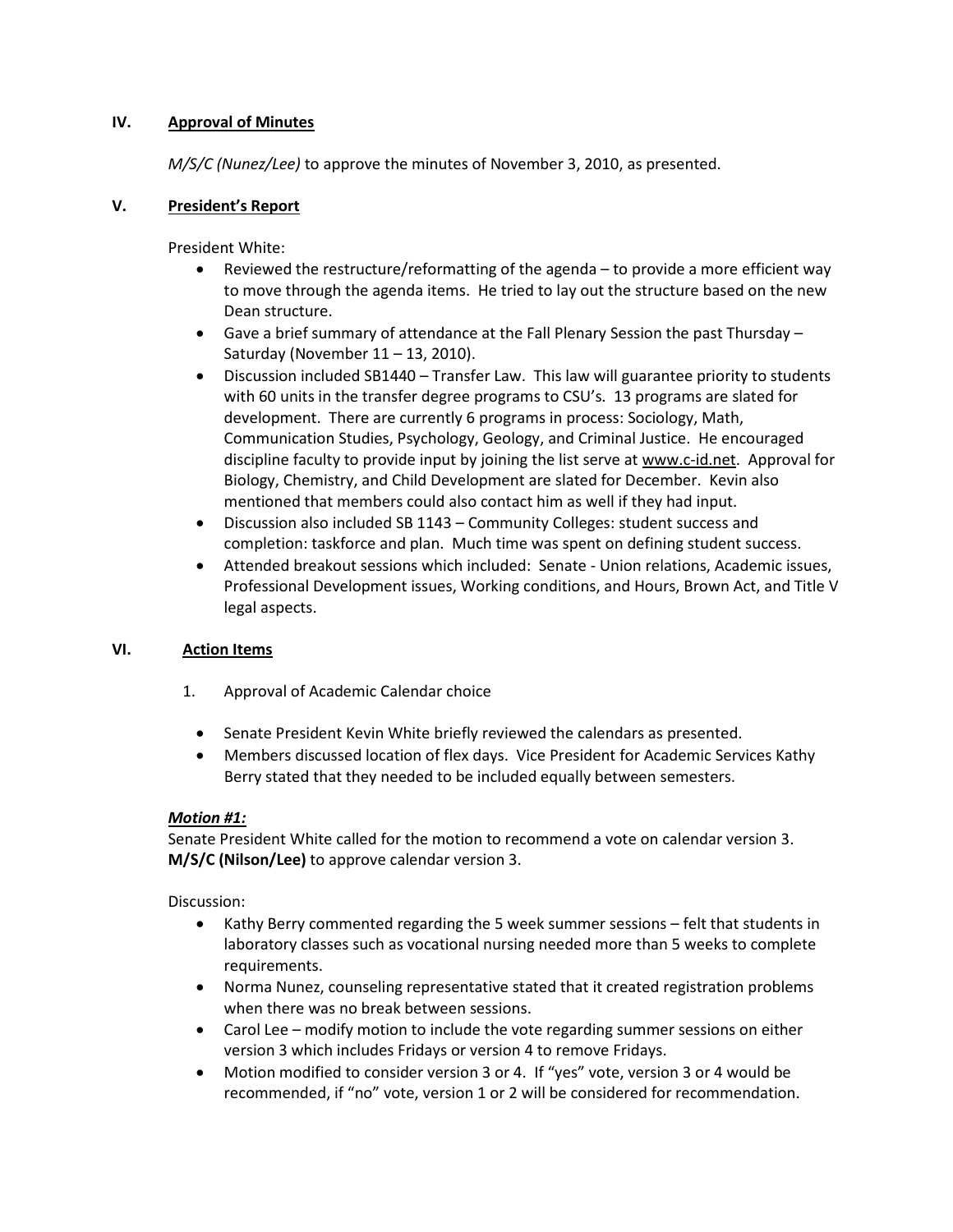#### **IV. Approval of Minutes**

*M/S/C (Nunez/Lee)* to approve the minutes of November 3, 2010, as presented.

#### **V. President's Report**

President White:

- Reviewed the restructure/reformatting of the agenda to provide a more efficient way to move through the agenda items. He tried to lay out the structure based on the new Dean structure.
- Gave a brief summary of attendance at the Fall Plenary Session the past Thursday Saturday (November 11 – 13, 2010).
- Discussion included SB1440 Transfer Law. This law will guarantee priority to students with 60 units in the transfer degree programs to CSU's. 13 programs are slated for development. There are currently 6 programs in process: Sociology, Math, Communication Studies, Psychology, Geology, and Criminal Justice. He encouraged discipline faculty to provide input by joining the list serve at www.c-id.net. Approval for Biology, Chemistry, and Child Development are slated for December. Kevin also mentioned that members could also contact him as well if they had input.
- Discussion also included SB 1143 Community Colleges: student success and completion: taskforce and plan. Much time was spent on defining student success.
- Attended breakout sessions which included: Senate Union relations, Academic issues, Professional Development issues, Working conditions, and Hours, Brown Act, and Title V legal aspects.

## **VI. Action Items**

- 1. Approval of Academic Calendar choice
	- Senate President Kevin White briefly reviewed the calendars as presented.
	- Members discussed location of flex days. Vice President for Academic Services Kathy Berry stated that they needed to be included equally between semesters.

#### *Motion #1:*

Senate President White called for the motion to recommend a vote on calendar version 3. **M/S/C (Nilson/Lee)** to approve calendar version 3.

Discussion:

- Kathy Berry commented regarding the 5 week summer sessions felt that students in laboratory classes such as vocational nursing needed more than 5 weeks to complete requirements.
- Norma Nunez, counseling representative stated that it created registration problems when there was no break between sessions.
- Carol Lee modify motion to include the vote regarding summer sessions on either version 3 which includes Fridays or version 4 to remove Fridays.
- Motion modified to consider version 3 or 4. If "yes" vote, version 3 or 4 would be recommended, if "no" vote, version 1 or 2 will be considered for recommendation.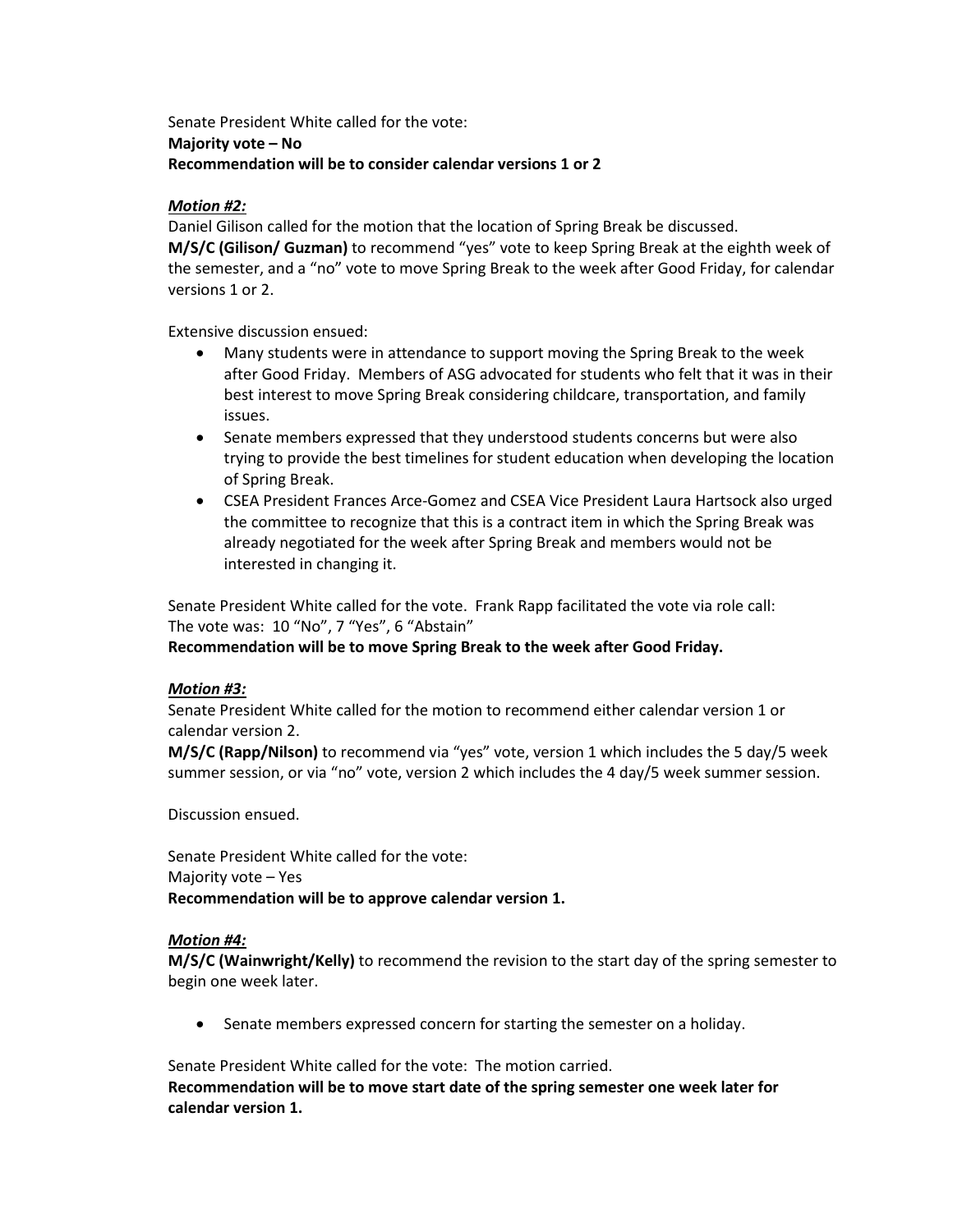Senate President White called for the vote: **Majority vote – No Recommendation will be to consider calendar versions 1 or 2**

#### *Motion #2:*

Daniel Gilison called for the motion that the location of Spring Break be discussed. **M/S/C (Gilison/ Guzman)** to recommend "yes" vote to keep Spring Break at the eighth week of the semester, and a "no" vote to move Spring Break to the week after Good Friday, for calendar versions 1 or 2.

Extensive discussion ensued:

- Many students were in attendance to support moving the Spring Break to the week after Good Friday. Members of ASG advocated for students who felt that it was in their best interest to move Spring Break considering childcare, transportation, and family issues.
- Senate members expressed that they understood students concerns but were also trying to provide the best timelines for student education when developing the location of Spring Break.
- CSEA President Frances Arce-Gomez and CSEA Vice President Laura Hartsock also urged the committee to recognize that this is a contract item in which the Spring Break was already negotiated for the week after Spring Break and members would not be interested in changing it.

Senate President White called for the vote. Frank Rapp facilitated the vote via role call: The vote was: 10 "No", 7 "Yes", 6 "Abstain"

**Recommendation will be to move Spring Break to the week after Good Friday.**

#### *Motion #3:*

Senate President White called for the motion to recommend either calendar version 1 or calendar version 2.

**M/S/C (Rapp/Nilson)** to recommend via "yes" vote, version 1 which includes the 5 day/5 week summer session, or via "no" vote, version 2 which includes the 4 day/5 week summer session.

Discussion ensued.

Senate President White called for the vote: Majority vote – Yes **Recommendation will be to approve calendar version 1.**

#### *Motion #4:*

**M/S/C (Wainwright/Kelly)** to recommend the revision to the start day of the spring semester to begin one week later.

• Senate members expressed concern for starting the semester on a holiday.

Senate President White called for the vote: The motion carried. **Recommendation will be to move start date of the spring semester one week later for calendar version 1.**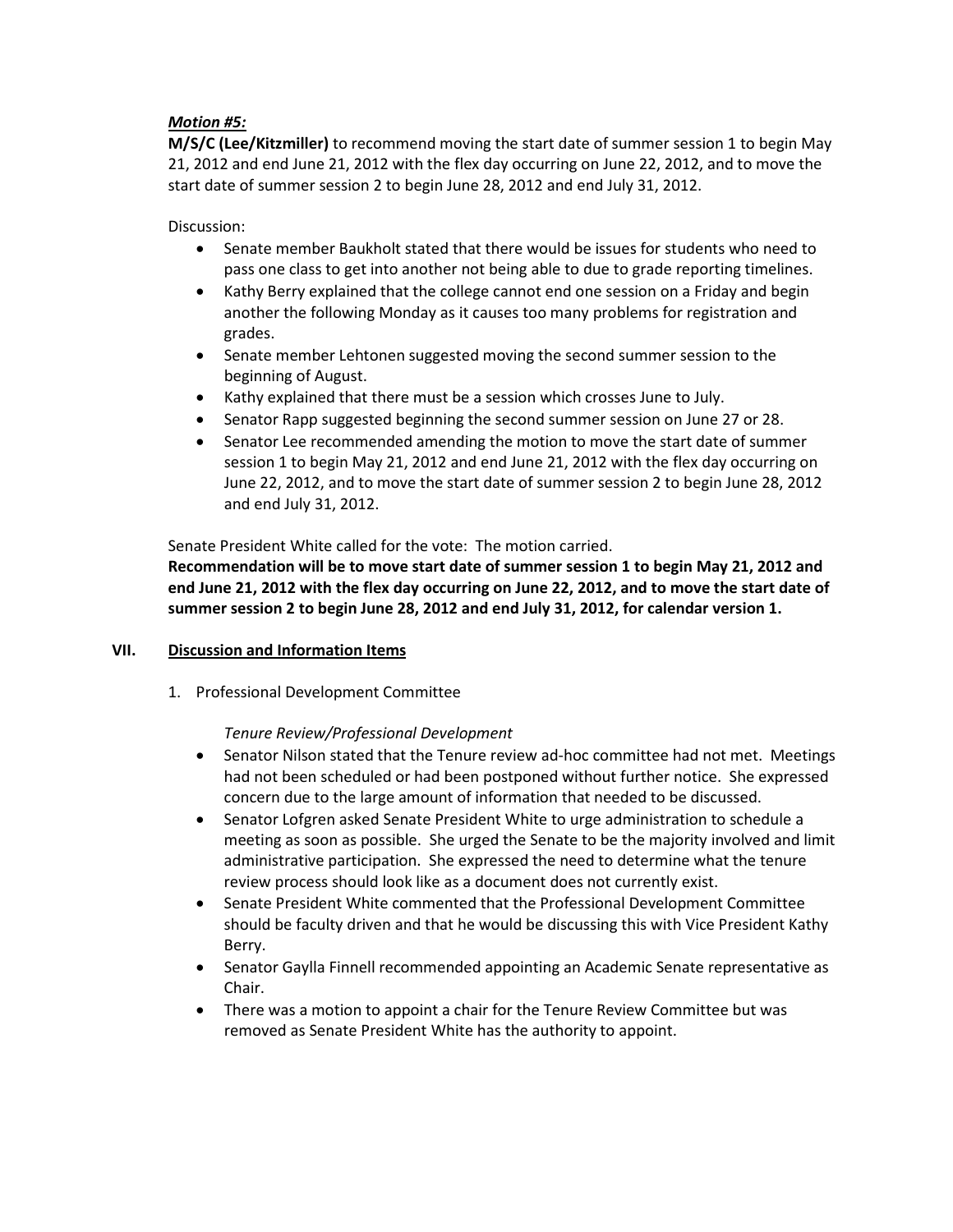#### *Motion #5:*

**M/S/C (Lee/Kitzmiller)** to recommend moving the start date of summer session 1 to begin May 21, 2012 and end June 21, 2012 with the flex day occurring on June 22, 2012, and to move the start date of summer session 2 to begin June 28, 2012 and end July 31, 2012.

Discussion:

- Senate member Baukholt stated that there would be issues for students who need to pass one class to get into another not being able to due to grade reporting timelines.
- Kathy Berry explained that the college cannot end one session on a Friday and begin another the following Monday as it causes too many problems for registration and grades.
- Senate member Lehtonen suggested moving the second summer session to the beginning of August.
- Kathy explained that there must be a session which crosses June to July.
- Senator Rapp suggested beginning the second summer session on June 27 or 28.
- Senator Lee recommended amending the motion to move the start date of summer session 1 to begin May 21, 2012 and end June 21, 2012 with the flex day occurring on June 22, 2012, and to move the start date of summer session 2 to begin June 28, 2012 and end July 31, 2012.

Senate President White called for the vote: The motion carried.

**Recommendation will be to move start date of summer session 1 to begin May 21, 2012 and end June 21, 2012 with the flex day occurring on June 22, 2012, and to move the start date of summer session 2 to begin June 28, 2012 and end July 31, 2012, for calendar version 1.**

#### **VII. Discussion and Information Items**

1. Professional Development Committee

#### *Tenure Review/Professional Development*

- Senator Nilson stated that the Tenure review ad-hoc committee had not met. Meetings had not been scheduled or had been postponed without further notice. She expressed concern due to the large amount of information that needed to be discussed.
- Senator Lofgren asked Senate President White to urge administration to schedule a meeting as soon as possible. She urged the Senate to be the majority involved and limit administrative participation. She expressed the need to determine what the tenure review process should look like as a document does not currently exist.
- Senate President White commented that the Professional Development Committee should be faculty driven and that he would be discussing this with Vice President Kathy Berry.
- Senator Gaylla Finnell recommended appointing an Academic Senate representative as Chair.
- There was a motion to appoint a chair for the Tenure Review Committee but was removed as Senate President White has the authority to appoint.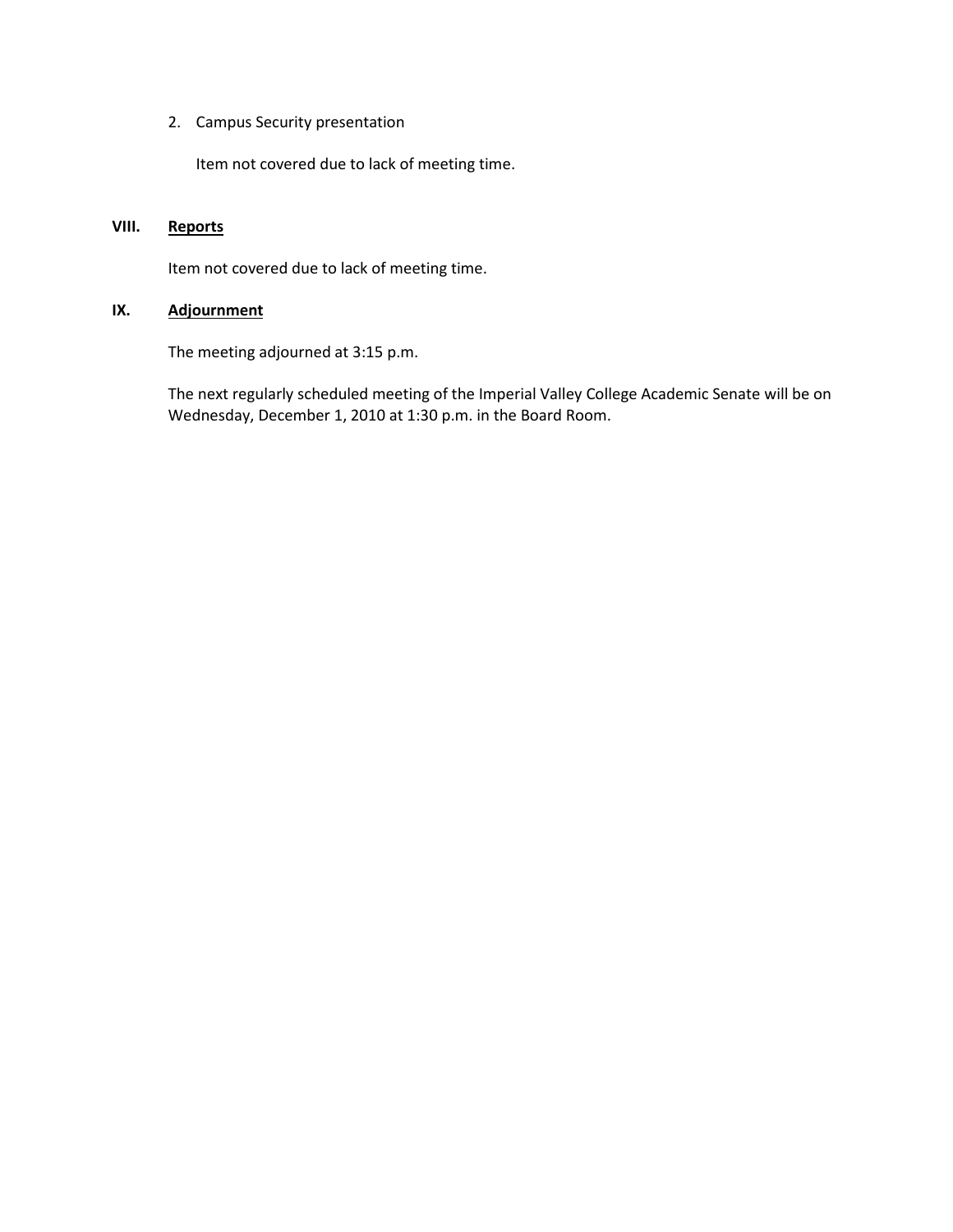2. Campus Security presentation

Item not covered due to lack of meeting time.

#### **VIII. Reports**

Item not covered due to lack of meeting time.

# **IX. Adjournment**

The meeting adjourned at 3:15 p.m.

The next regularly scheduled meeting of the Imperial Valley College Academic Senate will be on Wednesday, December 1, 2010 at 1:30 p.m. in the Board Room.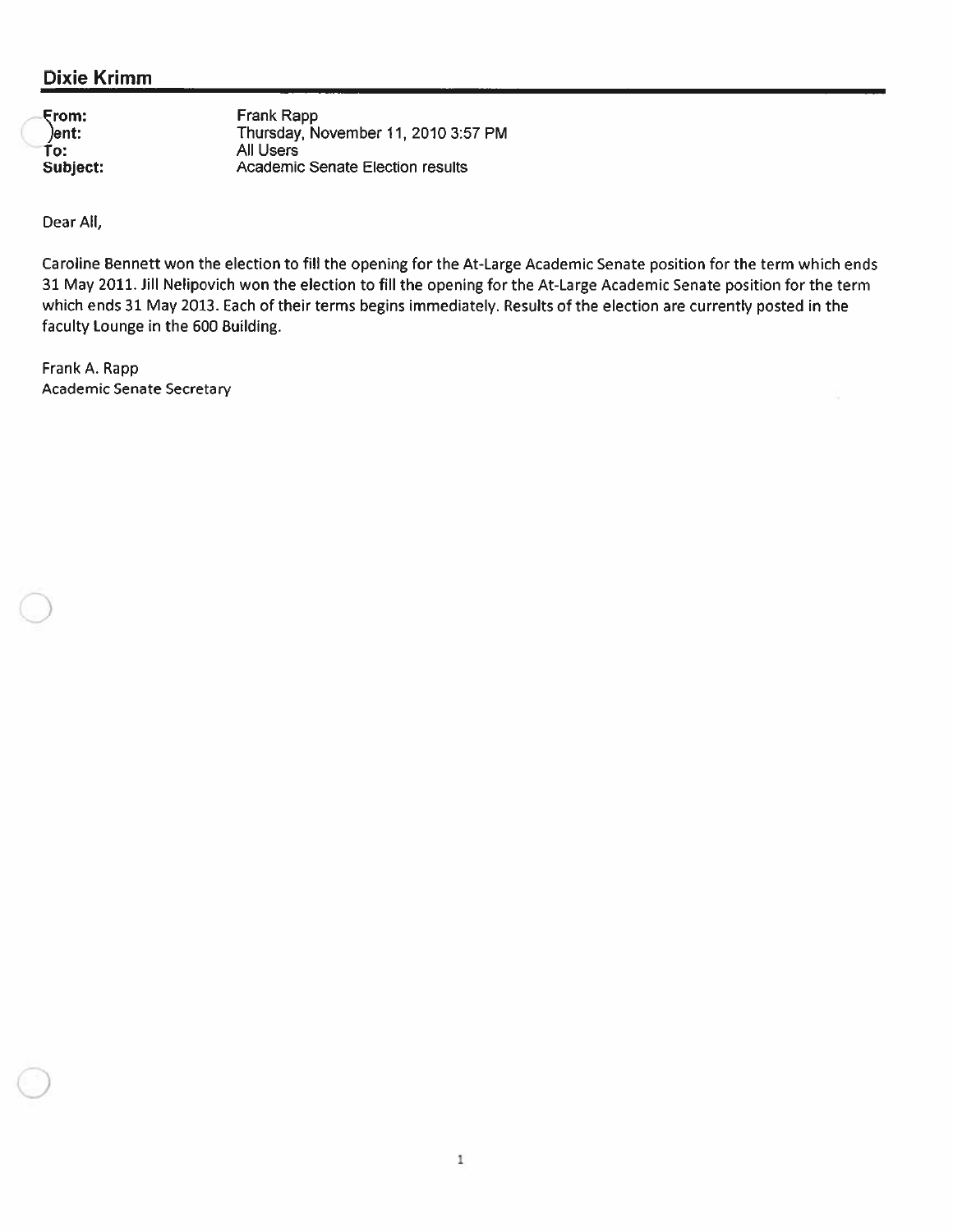# **Dixie Krimm**

|               | Frank Rapp                          |
|---------------|-------------------------------------|
| From:<br>ent: | Thursday, November 11, 2010 3:57 PM |
| To:           | All Users                           |
| Subject:      | Academic Senate Election results    |

Dear All,

Caroline Bennett won the election to fill the opening for the At-Large Academic Senate position for the term which ends 31 May 2011. Jill Nelipovich won the election to fill the opening for the At-Large Academic Senate position for the term which ends 31 May 2013. Each of their terms begins immediately. Results of the election are currently posted in the faculty Lounge in the 600 Building.

Frank A. Rapp Academic Senate Secretary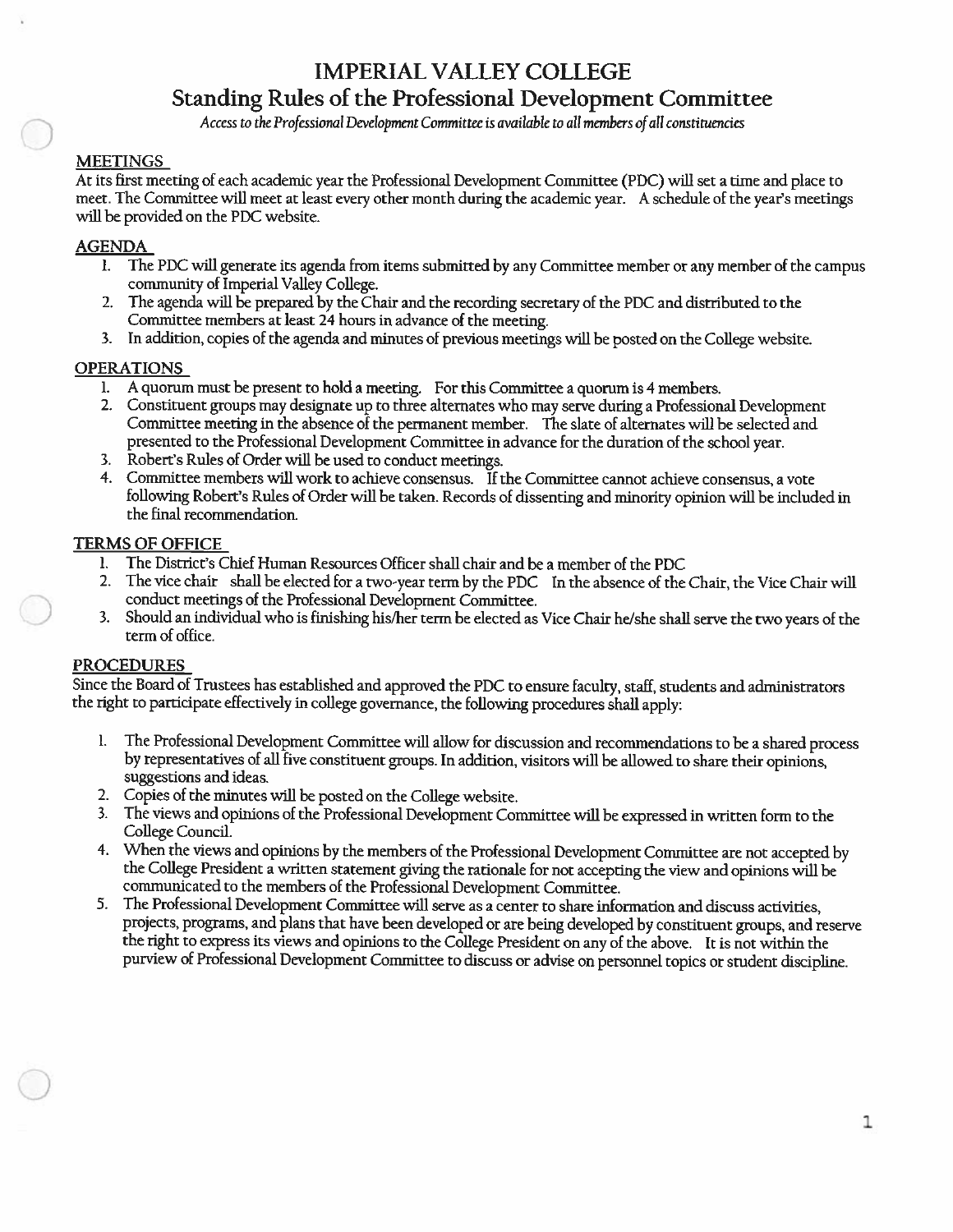# **IMPERIAL VALLEY COLLEGE**

# Standing Rules of the Professional Development Committee

Access to the Professional Development Committee is available to all members of all constituencies

#### **MEETINGS**

At its first meeting of each academic year the Professional Development Committee (PDC) will set a time and place to meet. The Committee will meet at least every other month during the academic year. A schedule of the year's meetings will be provided on the PDC website.

#### **AGENDA**

- l. The PDC will generate its agenda from items submitted by any Committee member or any member of the campus community of Imperial Valley College.
- 2. The agenda will be prepared by the Chair and the recording secretary of the PDC and distributed to the Committee members at least 24 hours in advance of the meeting.
- 3. In addition, copies of the agenda and minutes of previous meetings will be posted on the College website.

#### **OPERATIONS**

- 1. A quorum must be present to hold a meeting. For this Committee a quorum is 4 members.
- 2. Constituent groups may designate up to three alternates who may serve during a Professional Development Committee meeting in the absence of the permanent member. The slate of alternates will be selected and presented to the Professional Development Committee in advance for the duration of the school year.
- 3. Robert's Rules of Order will be used to conduct meetings.
- 4. Committee members will work to achieve consensus. If the Committee cannot achieve consensus, a vote following Robert's Rules of Order will be taken. Records of dissenting and minority opinion will be included in the final recommendation.

#### **TERMS OF OFFICE**

- The District's Chief Human Resources Officer shall chair and be a member of the PDC  $\mathbf{l}$ .
- $2.$ The vice chair shall be elected for a two-year term by the PDC In the absence of the Chair, the Vice Chair will conduct meetings of the Professional Development Committee.
- 3. Should an individual who is finishing his/her term be elected as Vice Chair he/she shall serve the two years of the term of office.

#### **PROCEDURES**

Since the Board of Trustees has established and approved the PDC to ensure faculty, staff, students and administrators the right to participate effectively in college governance, the following procedures shall apply:

- The Professional Development Committee will allow for discussion and recommendations to be a shared process 1. by representatives of all five constituent groups. In addition, visitors will be allowed to share their opinions, suggestions and ideas.
- 2. Copies of the minutes will be posted on the College website.
- 3. The views and opinions of the Professional Development Committee will be expressed in written form to the College Council.
- 4. When the views and opinions by the members of the Professional Development Committee are not accepted by the College President a written statement giving the rationale for not accepting the view and opinions will be communicated to the members of the Professional Development Committee.
- 5. The Professional Development Committee will serve as a center to share information and discuss activities, projects, programs, and plans that have been developed or are being developed by constituent groups, and reserve the right to express its views and opinions to the College President on any of the above. It is not within the purview of Professional Development Committee to discuss or advise on personnel topics or student discipline.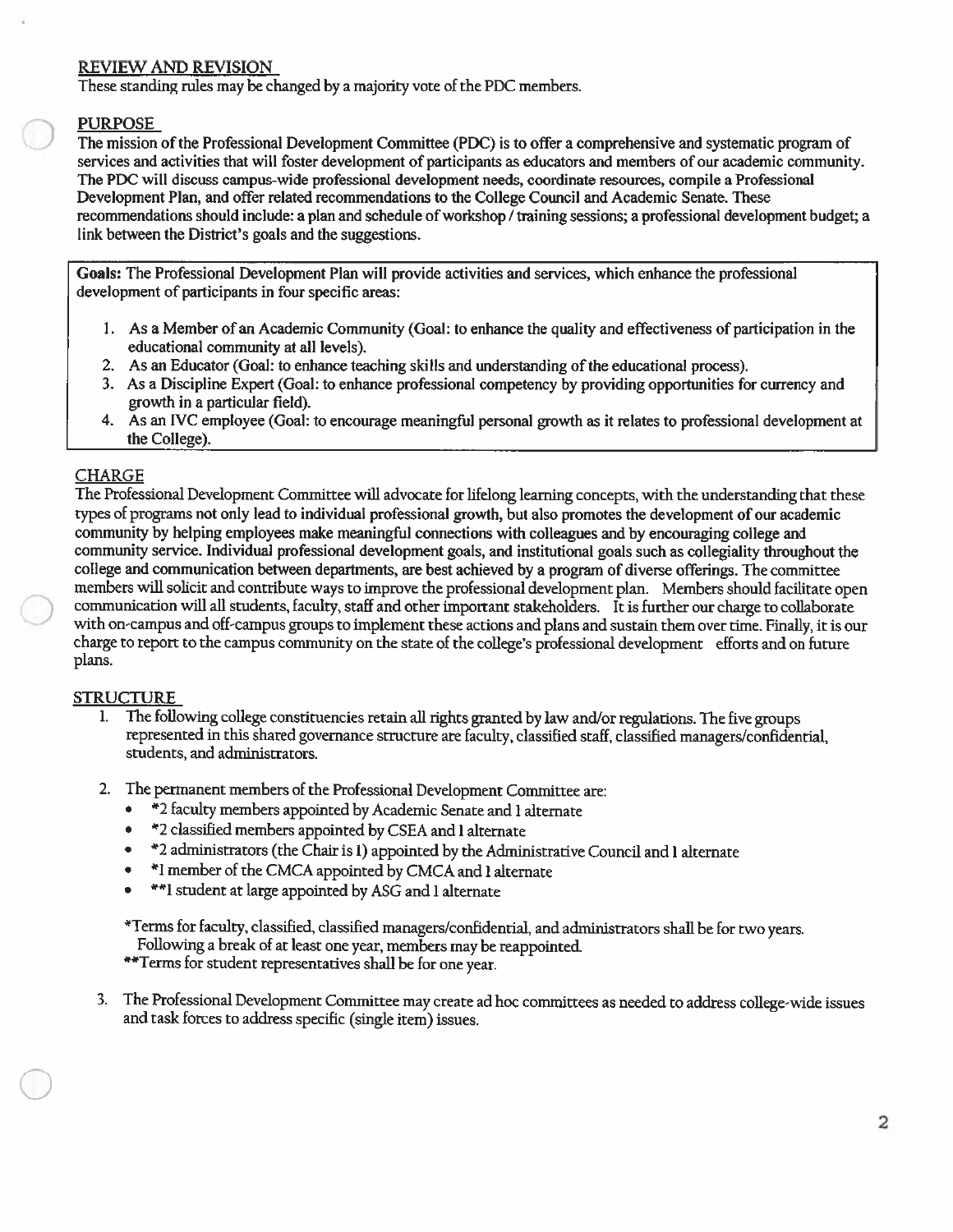#### **REVIEW AND REVISION**

These standing rules may be changed by a majority vote of the PDC members.

#### **PURPOSE**

The mission of the Professional Development Committee (PDC) is to offer a comprehensive and systematic program of services and activities that will foster development of participants as educators and members of our academic community. The PDC will discuss campus-wide professional development needs, coordinate resources, compile a Professional Development Plan, and offer related recommendations to the College Council and Academic Senate. These recommendations should include: a plan and schedule of workshop / training sessions; a professional development budget; a link between the District's goals and the suggestions.

Goals: The Professional Development Plan will provide activities and services, which enhance the professional development of participants in four specific areas:

- 1. As a Member of an Academic Community (Goal: to enhance the quality and effectiveness of participation in the educational community at all levels).
- 2. As an Educator (Goal: to enhance teaching skills and understanding of the educational process).
- 3. As a Discipline Expert (Goal: to enhance professional competency by providing opportunities for currency and growth in a particular field).
- 4. As an IVC employee (Goal: to encourage meaningful personal growth as it relates to professional development at the College).

## **CHARGE**

The Professional Development Committee will advocate for lifelong learning concepts, with the understanding that these types of programs not only lead to individual professional growth, but also promotes the development of our academic community by helping employees make meaningful connections with colleagues and by encouraging college and community service. Individual professional development goals, and institutional goals such as collegiality throughout the college and communication between departments, are best achieved by a program of diverse offerings. The committee members will solicit and contribute ways to improve the professional development plan. Members should facilitate open communication will all students, faculty, staff and other important stakeholders. It is further our charge to collaborate with on-campus and off-campus groups to implement these actions and plans and sustain them over time. Finally, it is our charge to report to the campus community on the state of the college's professional development efforts and on future plans.

## **STRUCTURE**

- $\mathbf{L}$ The following college constituencies retain all rights granted by law and/or regulations. The five groups represented in this shared governance structure are faculty, classified staff, classified managers/confidential, students, and administrators.
- 2. The permanent members of the Professional Development Committee are:
	- \*2 faculty members appointed by Academic Senate and 1 alternate
	- \*2 classified members appointed by CSEA and 1 alternate  $\bullet$
	- \*2 administrators (the Chair is 1) appointed by the Administrative Council and 1 alternate  $\bullet$
	- \*I member of the CMCA appointed by CMCA and 1 alternate
	- \*\*I student at large appointed by ASG and 1 alternate  $\bullet$

\*Terms for faculty, classified, classified managers/confidential, and administrators shall be for two years. Following a break of at least one year, members may be reappointed.

\*\*Terms for student representatives shall be for one year.

3. The Professional Development Committee may create ad hoc committees as needed to address college-wide issues and task forces to address specific (single item) issues.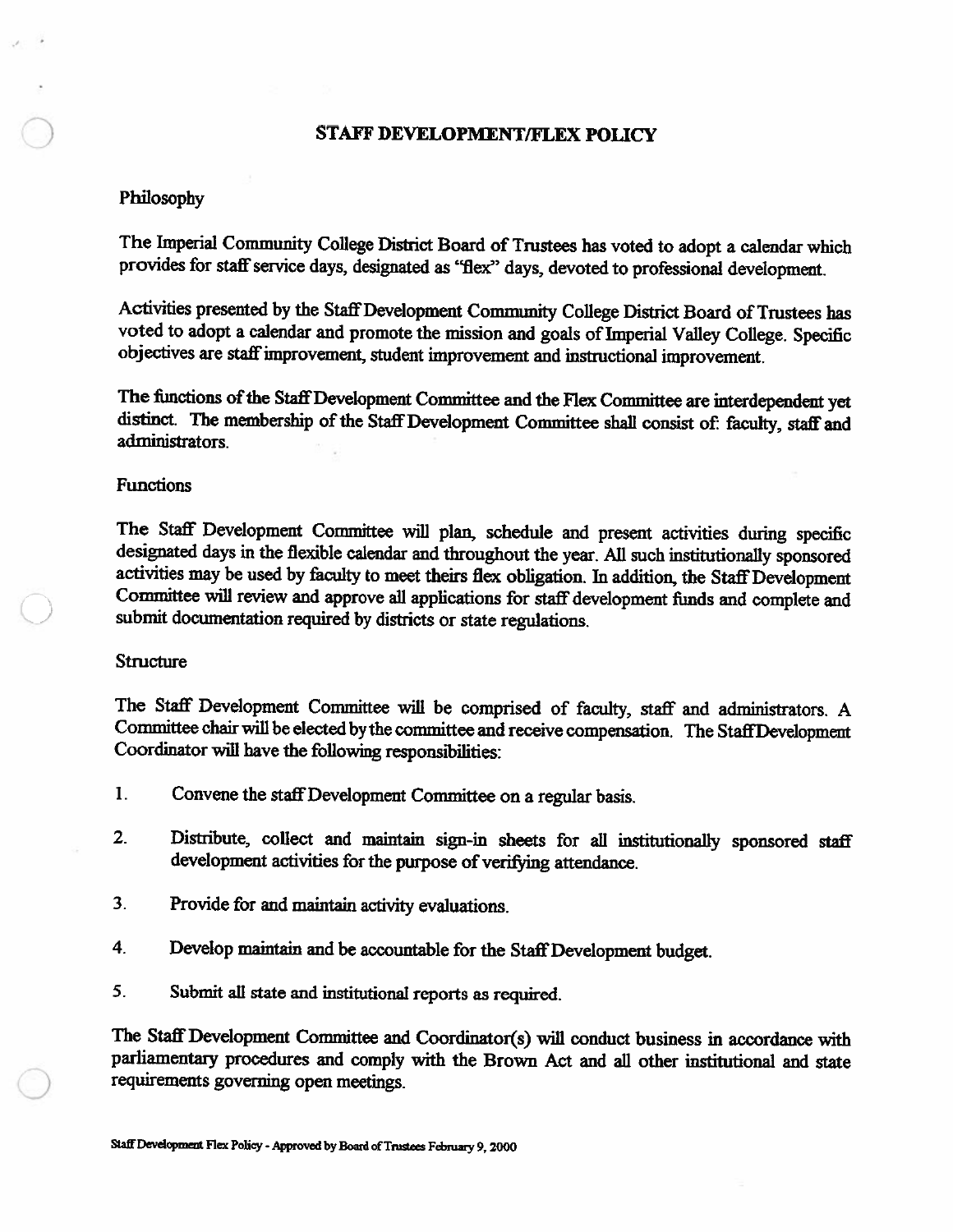#### **STAFF DEVELOPMENT/FLEX POLICY**

#### Philosophy

The Imperial Community College District Board of Trustees has voted to adopt a calendar which provides for staff service days, designated as "flex" days, devoted to professional development.

Activities presented by the Staff Development Community College District Board of Trustees has voted to adopt a calendar and promote the mission and goals of Imperial Valley College. Specific objectives are staff improvement, student improvement and instructional improvement.

The functions of the Staff Development Committee and the Flex Committee are interdependent yet distinct. The membership of the Staff Development Committee shall consist of: faculty, staff and administrators

#### **Functions**

The Staff Development Committee will plan, schedule and present activities during specific designated days in the flexible calendar and throughout the year. All such institutionally sponsored activities may be used by faculty to meet theirs flex obligation. In addition, the Staff Development Committee will review and approve all applications for staff development funds and complete and submit documentation required by districts or state regulations.

#### **Structure**

The Staff Development Committee will be comprised of faculty, staff and administrators. A Committee chair will be elected by the committee and receive compensation. The Staff Development Coordinator will have the following responsibilities:

- $\mathbf{I}$ Convene the staff Development Committee on a regular basis.
- $2.$ Distribute, collect and maintain sign-in sheets for all institutionally sponsored staff development activities for the purpose of verifying attendance.
- $3<sub>1</sub>$ Provide for and maintain activity evaluations.
- $4<sub>1</sub>$ Develop maintain and be accountable for the Staff Development budget.
- 5. Submit all state and institutional reports as required.

The Staff Development Committee and Coordinator(s) will conduct business in accordance with parliamentary procedures and comply with the Brown Act and all other institutional and state requirements governing open meetings.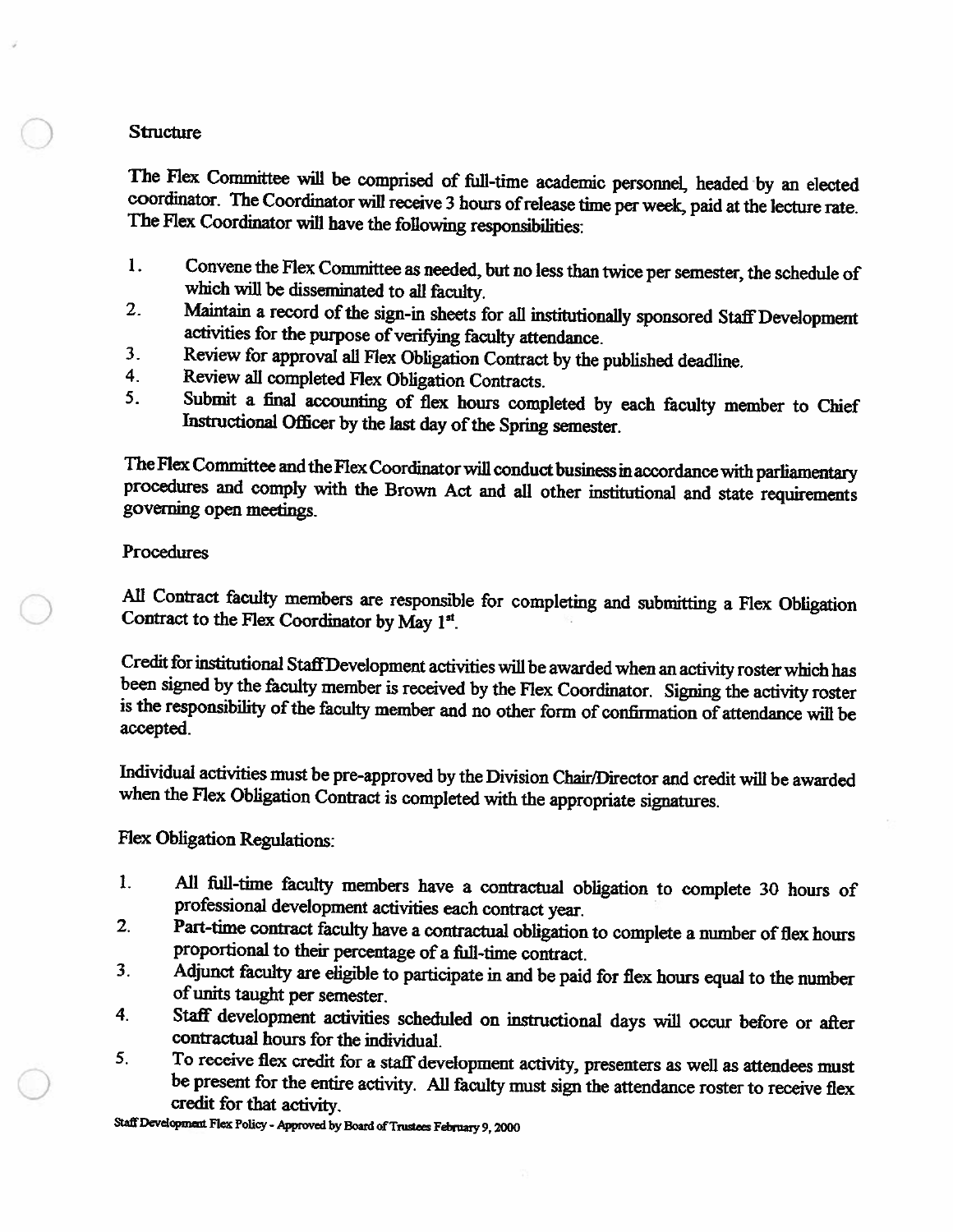## **Structure**

The Flex Committee will be comprised of full-time academic personnel, headed by an elected coordinator. The Coordinator will receive 3 hours of release time per week, paid at the lecture rate. The Flex Coordinator will have the following responsibilities:

- 1. Convene the Flex Committee as needed, but no less than twice per semester, the schedule of which will be disseminated to all faculty.
- Maintain a record of the sign-in sheets for all institutionally sponsored Staff Development  $2.$ activities for the purpose of verifying faculty attendance.
- $3<sub>1</sub>$ Review for approval all Flex Obligation Contract by the published deadline.
- $\overline{4}$ . Review all completed Flex Obligation Contracts.
- $5<sub>1</sub>$ Submit a final accounting of flex hours completed by each faculty member to Chief Instructional Officer by the last day of the Spring semester.

The Flex Committee and the Flex Coordinator will conduct business in accordance with parliamentary procedures and comply with the Brown Act and all other institutional and state requirements governing open meetings.

# Procedures

All Contract faculty members are responsible for completing and submitting a Flex Obligation Contract to the Flex Coordinator by May 1st.

Credit for institutional Staff Development activities will be awarded when an activity roster which has been signed by the faculty member is received by the Flex Coordinator. Signing the activity roster is the responsibility of the faculty member and no other form of confirmation of attendance will be accepted.

Individual activities must be pre-approved by the Division Chair/Director and credit will be awarded when the Flex Obligation Contract is completed with the appropriate signatures.

**Flex Obligation Regulations:** 

- All full-time faculty members have a contractual obligation to complete 30 hours of 1. professional development activities each contract year.
- Part-time contract faculty have a contractual obligation to complete a number of flex hours  $2.$ proportional to their percentage of a full-time contract.
- Adjunct faculty are eligible to participate in and be paid for flex hours equal to the number  $3<sub>1</sub>$ of units taught per semester.
- Staff development activities scheduled on instructional days will occur before or after 4. contractual hours for the individual.
- To receive flex credit for a staff development activity, presenters as well as attendees must 5. be present for the entire activity. All faculty must sign the attendance roster to receive flex credit for that activity.

Staff Development Flex Policy - Approved by Board of Trustees February 9, 2000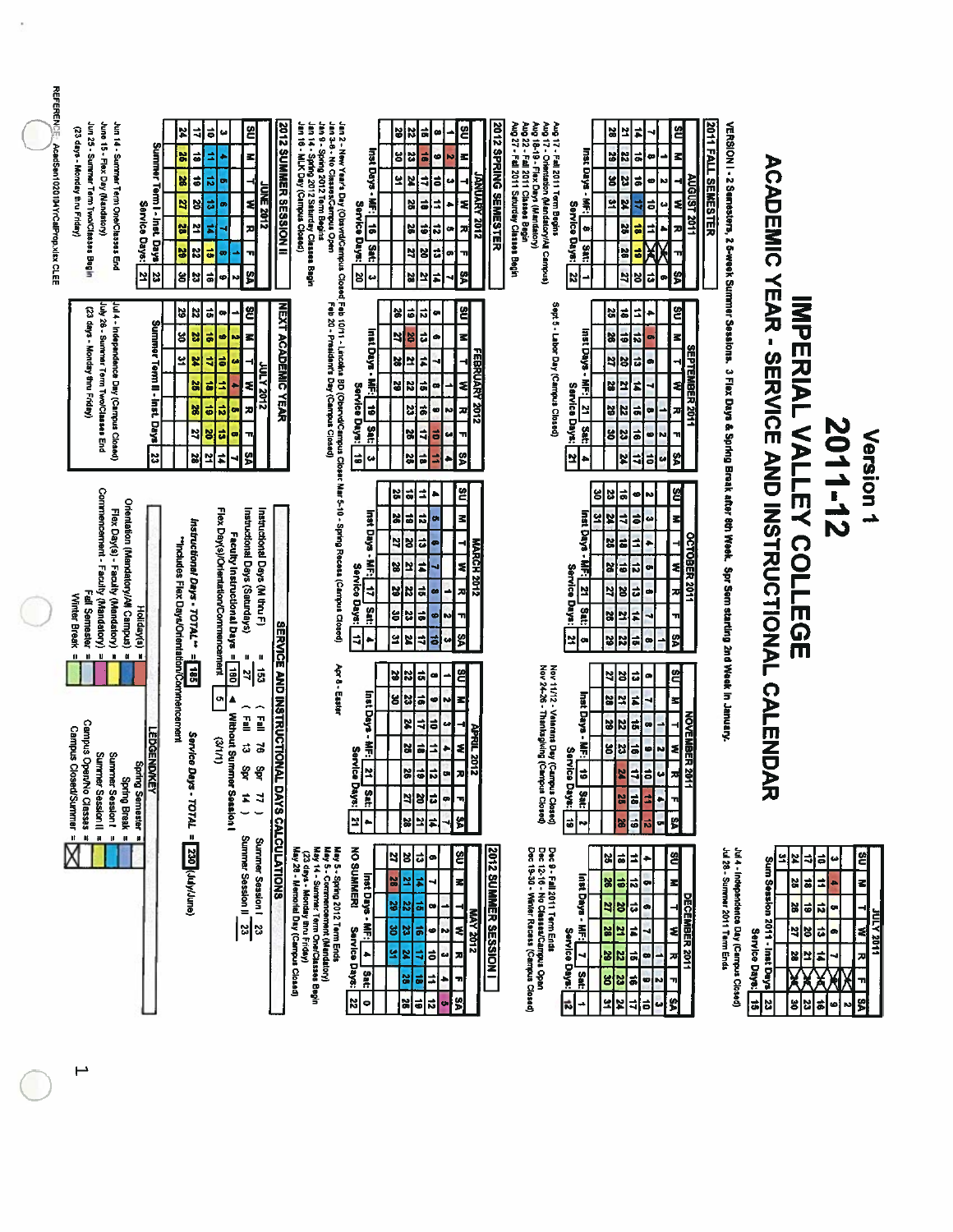| <b>REFERENCE</b><br>AcadSen1020104YrCalProp.xlsx CLEE | Jun 25 - Summer Term Two/Classes Begin<br>June 15 - Flex Day (Mandatory)<br>Jun 14 - Summer Term One/Classes End<br>(23 days - Monday thru Friday)                                                         | Summer Term I - Inst. Days<br>Service Days:<br>Z,<br>의 | 24<br>₹<br>$\vec{a}$<br>x<br>$\vec{e}$<br>X<br>ă<br>2<br>ᅼ<br>ã<br>$\overline{\mathbf{z}}$<br>¥<br>g<br>23 | E<br>ត់<br>مه<br>z<br>₫<br>ಣೆ<br><b>UNE 2012</b><br>급<br>E<br>ø<br>æ<br>₫<br>ä<br>71<br>ō.<br>ଞ୍ଚ<br>高<br>œ                                                                            | <b>2012 SUMMER SESSION II</b>    | Jan 9 - Spring 2012 Torm Begins<br>Jan 2 - New Year's Day (Obsord/Campus Closed Feb 10/11 - Lincolns BD (ObstrudCampus )<br>Jan 3-6 - No Classes/Campus Open<br>Jan 16 - MLK Day (Campus Closed)<br>Jan 14 - Spring 2012 Saturday Classes Begin | Inst Days - MF;<br>Service Days:<br>$\frac{1}{9}$<br>ant<br>넘<br>ω                  | 5<br>ä<br>in<br>œ<br>ន<br>ä,<br>22<br>ø<br>5<br>ō<br>₹<br>×<br>ä<br>⇉<br>2<br>51<br>ನ<br>X<br>ä<br>27<br>임<br>¢<br>$\frac{1}{20}$<br>ᄓ                                    | ë<br>z<br><b>ANUARY 2012</b><br>۹<br>u<br>₹<br>x,<br>œ<br>71<br>œ<br>S | 2012 SPRING SEMESTER<br>Aug 27 - Fall 2011 Saturday Classes Begin<br>Aug 22 - Fall 2011 Classes Begin | Aug 18-19 - Flex Days (Mandatory)<br>Aug 17 - Fall 2011 Term Begins<br>Aug 17 - Crientation (Mandatory/All Campus) | Inst Days - MF:<br>Service Days:<br>$\bullet$<br>Sat:<br> ដ<br>د       | X<br>보<br>¥<br>Z<br>g<br>23<br>Ľ<br>¥<br>25<br>비<br>54                                                   | #<br>ã<br>٠<br>ã<br>œ<br>4<br>ã<br>i,<br>ã<br>X<br>$\vec{ }$<br>ã<br>5<br>œ                                                 | ଞ୍ଚ<br>z<br><b>NGUST 201</b><br>ź<br>z<br>S          | <b>2011 FALL SEMESTER</b><br>VERSION I - 2 Semesters, 2 S-week Summer Sessions. 3 Flex Days & Spring Break after 8th Week. Spr Sem starting 2nd Week in January |                      |                                                                  |                                                                                                                                      |                          |
|-------------------------------------------------------|------------------------------------------------------------------------------------------------------------------------------------------------------------------------------------------------------------|--------------------------------------------------------|------------------------------------------------------------------------------------------------------------|----------------------------------------------------------------------------------------------------------------------------------------------------------------------------------------|----------------------------------|-------------------------------------------------------------------------------------------------------------------------------------------------------------------------------------------------------------------------------------------------|-------------------------------------------------------------------------------------|---------------------------------------------------------------------------------------------------------------------------------------------------------------------------|------------------------------------------------------------------------|-------------------------------------------------------------------------------------------------------|--------------------------------------------------------------------------------------------------------------------|------------------------------------------------------------------------|----------------------------------------------------------------------------------------------------------|-----------------------------------------------------------------------------------------------------------------------------|------------------------------------------------------|-----------------------------------------------------------------------------------------------------------------------------------------------------------------|----------------------|------------------------------------------------------------------|--------------------------------------------------------------------------------------------------------------------------------------|--------------------------|
|                                                       | July 26 - Summer Term Two/Classes End<br>Jul 4 - Independence Day (Campus Closed)<br>(23 days - Monday thru Fnday)                                                                                         | Summer Term II - Inst. Days<br>23                      | 22<br>3<br>넎<br>క<br>X<br>뵤<br>X<br>X<br>2<br>X                                                            | 엳<br>유<br>$\bullet$<br>z<br>66<br>ẳ<br>N<br>ត់<br>Э<br>ø<br><b>STOSY JUV</b><br>s<br>ㅎ<br>×<br>ನ<br>æ<br>ㅎ<br>٠<br>ã<br>õ<br>œ<br>$\overline{\mathbf{u}}$<br>ଞ୍ଚ<br>$\sharp$<br>의<br>ч | <b>NEXT ACADEMIC YEAR</b>        |                                                                                                                                                                                                                                                 | Inst Days - MF:<br>Service Days:<br>19   Sat:<br>$\overline{\bullet}$<br>çs         | 히<br>ढ़<br>को<br>œ<br>비<br>ᄓ<br>œ<br><b>S</b><br>28<br>엎<br>F<br>l8<br>$\overline{\mathbf{z}}$<br><b>ti</b><br>œ<br>23<br>ಕ<br>¢<br>X<br>ã<br>ᆌ<br>32<br>히<br>그<br>٠      | ຌ<br>z <br><b>FEBRUARY 2012</b><br>≼<br>찌<br><b>N</b><br>GH,<br>ᆔ<br>g |                                                                                                       | Sept 5 - Labor Day (Campus Closed)                                                                                 | Inst Days - MF:<br>Service Days:<br>Ņ<br><b>SECT</b><br>보<br>þ         | ä<br>ã<br>61<br>56<br>2<br>12<br>23<br>Ľ<br>¥<br>22<br>g<br>23<br>뵈                                      | ÷,<br>۰<br>$\overline{z}$<br>œ<br>급<br>ø<br>F<br><b>Ja</b><br>œ<br>∸<br>$\frac{1}{9}$<br>60<br>N<br>á,<br>E<br>u            | ຌ<br>z<br><b>SEPTEMBER 2011</b><br>≉<br>저<br>Ħ<br>s. |                                                                                                                                                                 |                      |                                                                  |                                                                                                                                      | N<br>S                   |
|                                                       | Commencement - Faculty (Mandatory)<br>Orientation (Mandatory/All Campus)<br>Flex Day(s) - Faculty (Mandatory)<br>Fall Semester<br>Winter Break<br>Holiday(s)                                               |                                                        | Instructional Days - TOTAL <sup>++</sup><br>"Includes Flex Days/Orientation/Commencement                   | Flex Day(s)/Orientation/Commencement<br>Instructional Deys (Saturdays)<br>Instructional Days (M thru F)<br>Faculty Instructional Days =                                                |                                  | Closer Mar 5-10 - Spring Recess (Carrious Closed)                                                                                                                                                                                               | Inst Days<br>ň<br>Service<br>₹<br>Days:<br>Sat:<br>ᆌ                                | ಇ<br>25<br>킈<br>٠<br>5<br>비<br>$\vec{a}$<br><b>o</b><br>ď<br>E<br>$\vec{u}$<br>œ<br>Ľ<br>X<br><b>z</b><br>ã<br>비<br>N<br>œ<br>비<br>N<br>¥<br>õ<br>ø<br>z<br>5<br>= 5<br>w | 2<br>z<br><b>MARCH 2012</b><br>ź<br>÷<br>ᅎ<br>٦ı<br>S                  |                                                                                                       |                                                                                                                    | Insti Days<br>Ã<br>Service Days:<br>Ľ<br>at:<br>뵈<br>œ                 | N,<br>ã<br>비<br>4<br>2<br>X<br>ä<br>58<br>$\ddot{\bullet}$<br>×<br>지역<br>Ľ.<br>S.<br>ž<br>S.             | N<br>\$<br>ø<br>킈<br>٠<br>œ<br><b>Fi</b><br>ö<br>œ<br>t,<br>ų<br>비<br>œ                                                     | ଞ୍ଚ<br>ᅿ<br>OCTOBER 2011<br>₹<br>쳐<br>S)             |                                                                                                                                                                 |                      | <b>ACADEMIC YEAR - SERVICE AND INSTRUCTIONAL CALEMPICANT</b>     | <b>INPERIAL VALLEY COLLEGE</b>                                                                                                       | $\overline{\phantom{a}}$ |
|                                                       | $\mathbf{u}$<br>u<br>$\blacksquare$<br>$\alpha$<br>$\mathbf{u}$<br>И<br>Campus OpenNo Classes<br>Campus Closed/Summer<br>Summer Session!<br>Surmer Session II<br>ąЯ<br><b>Spring Break</b><br>ing Semester | <b>LEDGENDWEY</b>                                      | JI.<br>185<br>Service<br>2<br>$= 107AT - 10T$                                                              | $\blacksquare$<br>ш<br>1001<br>is3<br>ᆌ<br>ы<br>Â,<br>$\frac{1}{2}$<br><b>Without Summ</b><br>E<br>(1/1/2)<br>ದ<br>5,<br>ЯÅ<br>ਊ<br>ar Session<br>$\frac{1}{2}$<br>ᆟ                   | <b>SERVICE AND INSTRUCTIONAL</b> | Apr 8 - Easter                                                                                                                                                                                                                                  | Inst Days<br>$\ddot{\tilde{\mathbf{H}}}$<br>Servic<br>lષ્ટ્રો<br>Days:<br>Sat:<br>2 | 35<br>ã<br>۰<br>⇒<br>33<br>ä<br>N<br>ø۱<br>X<br>4<br>œ<br>õ<br>32<br>ã<br>٠<br>≐<br>i di<br><br>굽<br>¥<br>4<br>$\overline{a}$<br>œ<br>뵈<br>38<br>#                        | ≝<br>z<br>APRIL 2012<br>됙<br><b>n</b><br>$\mathbf{u}$<br>s,            |                                                                                                       | Nov 11/12 - Velerans Day (Campus Closed)<br>Nov 24-26 - Thanksgiving (Campus Closed)                               | Inst Days<br>$\frac{2}{3}$<br>Service Days:<br>اءا<br>Li Sat:<br>'≈∣≈  | š<br>9<br>×<br>29<br>N<br>29<br>$\frac{25}{25}$<br>м<br><b>SS</b><br><b>Is</b>                           | ಧ<br>œ<br>#<br>$\overline{\phantom{a}}$<br>ë<br>œ<br>ä<br>Ņ<br>۰ı<br>÷<br>₹<br>ø<br>5<br>n<br>$\overline{6}$<br>œ<br>뗽<br>总 | 염<br>E<br><b>NOVEMBER 20</b><br>≉<br>킈               |                                                                                                                                                                 |                      | 匀                                                                |                                                                                                                                      |                          |
|                                                       | $\mathbf{u}$<br>II.<br>$\mathbf{u}$<br>Ħ                                                                                                                                                                   |                                                        | 230 (July/June)                                                                                            | Summer Session I 23<br>Summer Session II 23<br>Summer Session I                                                                                                                        | L DAYS CALCULATIONS              | May 5 - Spring 2012 Tarm Ends<br>May 28 - Merrorial Day (Carrpus Closed)<br>May 5 - Commencement (Mandatory)<br>May 14 - Summer Term One/Classes Begin<br>(23 days - Monday thru Friday)                                                        | NO SUMMERI<br>Inst Days -<br>馬<br>Service Days:<br>۰<br>Sat:<br>N<br>۰              | 의성<br>ö<br>ø<br>¥<br>읺<br>었<br>벎<br>ã<br>IЖ<br>œ<br>5ì<br>ႜ<br>း<br>٠<br>N<br>의<br>₫<br>R<br>$\vec{a}$<br>ω<br>$\sharp$<br>8<br>ã<br>빏<br>$\ddot{\bullet}$<br>ನ<br>٠      | E<br>z<br><u>zidz avn</u><br>≢<br>ᅎ<br>71<br>S,                        | <b>2012 SUMMER SESSION I</b>                                                                          | Dec 9 - Fall 2011 Term Ends<br>Dec 12-16 - No Classea/Campus Open<br>Dec 19-30 - Winter Recess (Campus Closed)     | Inst Days -<br>$\frac{25}{12}$<br>Service Days:<br>4<br>Sat:<br>ñ<br>→ | $\vec{a}$<br>3<br>61<br>82<br>20<br>27<br>š<br>었<br>ă<br>跳<br>N<br>g<br>ã<br>여<br>의<br>₹<br>$\mathbf{z}$ | 옘<br>ž<br>٠<br>ನ<br>되<br>œ<br>ಧ<br>œ<br>F<br>₹<br>ᅏ<br>$\bullet$<br>m<br>G<br>N<br>S<br>ã<br>مە                             | DECEMBER 2011                                        | Jul 28 - Surrmer 2011 Term Ends<br>Jul 4 - Independence Day (Campus Closed)                                                                                     | Service Days:<br>51. | ڀ<br>¥<br>Sum Session 2011 - Inst Days<br>ä<br>X<br>38<br>5<br>ដ | ᅯ<br>$\vec{p}$<br>$\overrightarrow{a}$<br>E,<br>  <del>a</del><br>피<br>ä<br>$rac{20}{27}$<br>#<br>$\overline{\mathbf{z}}$<br>a)<br>ی | Ģ<br>۰<br>ø              |

 $\mapsto$ 

Version 1<br>2011-12

ys<br>Y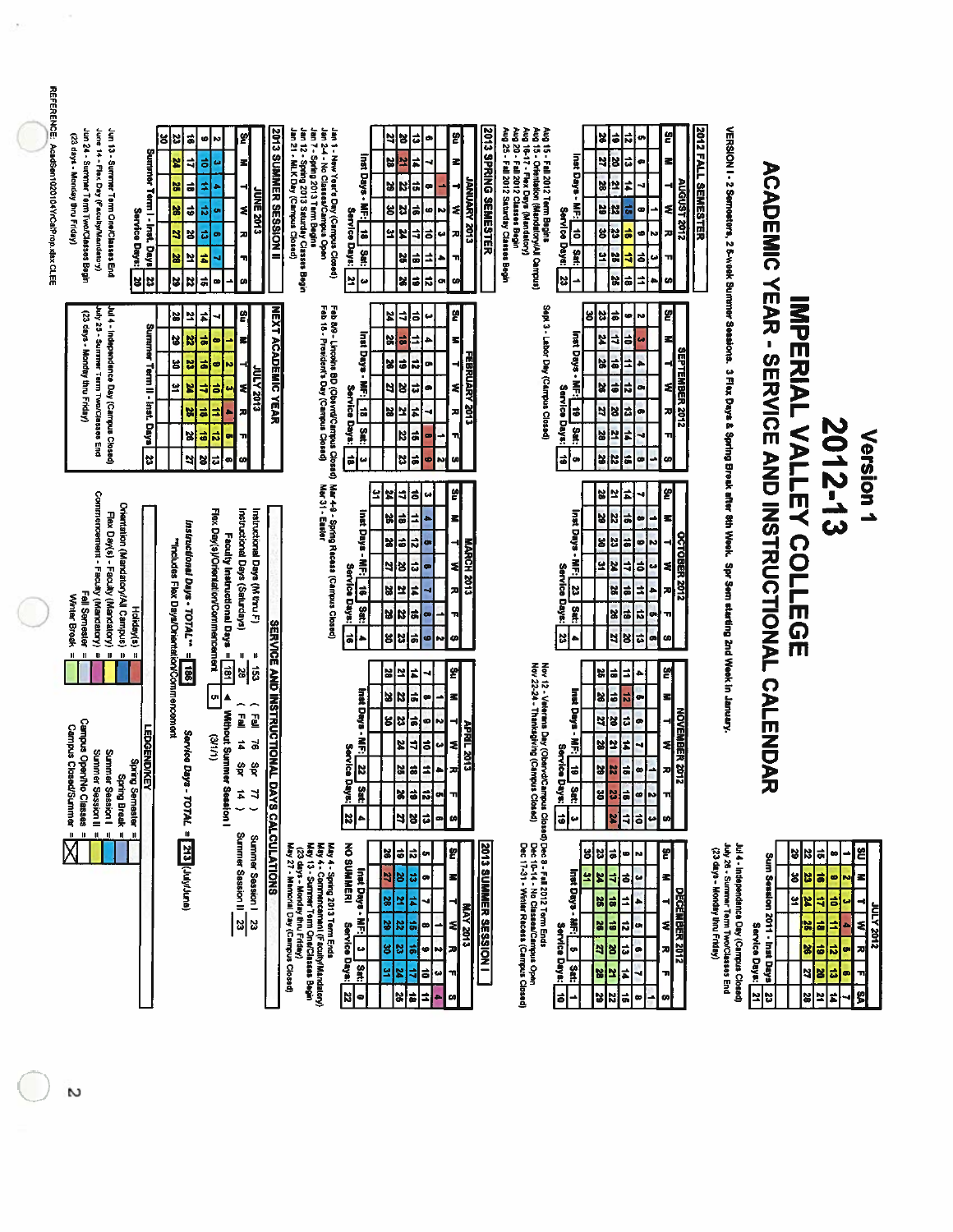| REFERENCE: AcadSen1020104YrCalProp.xlax CLEE | Jun 24 - Summer Term Two/Classes Begin<br>June 14 - Flex Day (Faculty/Mandatory)<br>Jun 13 - Summer Term One/Classes End<br>(23 days - Monday thru Friday)                                               | Summer Term I - Inst. Days<br>Service Days:<br>33 | ã<br>X<br>ຮ<br>z<br>4<br>R<br>$\vec{a}$<br>$\vec{v}$<br>X<br>g<br>٩<br>보<br><b>S</b><br>3<br>B<br>흙     | £,<br>ັ∣<br>Ņ<br>히<br>w<br>죄<br>≠<br><b>UNE 2013</b><br>럾<br>치<br>m<br>ಕ<br>57<br>ᅎ<br>t<br>÷<br>ø<br>œ                                                                      | <b>2013 SUMMER SESSION II</b>    | Jan 1 - New Yourd Day (Campus Closed)<br>Jan 7 - Spring 2013 Term Begin<br>Jan 7 - Spring 2013 Term Begin<br>Jan 7 - Spring 2013 Saturday Classes Begin<br>Jan 21 - NiLK Day (Campus Closed)     | Inst Days - MF:   18   Sat:<br>Service Days:<br>2<br>$\boldsymbol{\omega}$                             | ਫ<br>ဗူ<br>ᆁ<br>¥<br>œ<br>#<br>¥<br>넓<br>뢰<br>버<br>ĸ<br> ä<br>⊣<br>٠<br>ã<br>N<br>읭<br>ξ<br>œ<br>¥<br>4<br>$\overline{\bullet}$<br>Æ<br>ىئ<br>28<br>÷<br>ä<br>٦i<br>X<br>ö<br>됴<br>co.<br>łФ                                              | 2013 SPRING SEMESTER<br>Aug 15 - Feil 2012 Term Begins<br>Aug 15 - Tein 2012 Term Begins<br>Aug 15 - T - Fein Don (Manatabory)<br>Aug 20 - Feil 2012 Classes Begin<br>Aug 25 - Feil 2012 Saturday Classes Begin<br>Aug 25 - Feil 2012 Saturday Classes Begin<br><b>ETOS YARUINA</b> | Inst Days - MF:<br>Service Days:<br>$\frac{10}{2}$ Sat:<br>53<br><b>.</b>                        | 이유<br>ᄓ<br>ŋ<br>ದ<br>4<br>13<br>ø<br>5<br>t<br>29<br>œ<br>IN.<br>同<br>o<br>g<br>  정<br>히<br><b>N</b><br>의혜<br>ã<br>ᆌ<br>پ<br>÷<br>이용<br>٠                                                                                                       | <b>2012 FALL SEMESTER</b><br>g<br>로<br><b>410213012</b><br>≋<br>ᅎ<br>u |                                                                                                                                    |                                                         |                                                                                                                                          |                                                                 |                                                                  |
|----------------------------------------------|----------------------------------------------------------------------------------------------------------------------------------------------------------------------------------------------------------|---------------------------------------------------|---------------------------------------------------------------------------------------------------------|------------------------------------------------------------------------------------------------------------------------------------------------------------------------------|----------------------------------|--------------------------------------------------------------------------------------------------------------------------------------------------------------------------------------------------|--------------------------------------------------------------------------------------------------------|-------------------------------------------------------------------------------------------------------------------------------------------------------------------------------------------------------------------------------------------|-------------------------------------------------------------------------------------------------------------------------------------------------------------------------------------------------------------------------------------------------------------------------------------|--------------------------------------------------------------------------------------------------|-------------------------------------------------------------------------------------------------------------------------------------------------------------------------------------------------------------------------------------------------|------------------------------------------------------------------------|------------------------------------------------------------------------------------------------------------------------------------|---------------------------------------------------------|------------------------------------------------------------------------------------------------------------------------------------------|-----------------------------------------------------------------|------------------------------------------------------------------|
|                                              | Jul 4 - Independence Day (Carnpus Closed)<br>luly 25 - Summer Term Two/Classes End<br>(23 days - Monday thru Friday)                                                                                     | Sunsmer Term II - Inst. Days<br>23                | 28<br>보<br>S,<br>N<br>18<br>23<br>요<br>¥<br>X<br>ä<br>X<br>$\vec{a}$<br>5                               | 뗽<br>치<br>$\overrightarrow{a}$<br>로<br>຺<br>$\vec{a}$<br>ø<br>N<br><b>2102 ATM</b><br>护<br>ź<br>œ<br>Е<br>b<br>z<br>ا≈ا<br>œ<br>ᆩ<br>잉리<br>œ<br><b>SO</b>                    | <b>NEXT ACADEMIC YEAR</b>        | Feb 8/9 - Lincolns BD (Obsynd/Campus Closed)<br>Feb 18 - President's Day (Campus Closed)                                                                                                         | Inst Days -<br>副<br>Service Days:<br>$18$ $34$<br>a)<br>u                                              | 뗽<br>₹<br>6<br>24<br>$\bullet$<br>E,<br>ä<br>均<br>s <br>۰<br>z<br>$\vec{a}$<br>i x<br>œ<br>ξ<br>t,<br>너<br>B<br>ø<br>#<br>보<br>얺<br>피<br>22<br>ã<br>'n<br>$\blacksquare$<br> #<br>¦৯<br>ø<br>N<br>예                                       | FEBRUARY 2013                                                                                                                                                                                                                                                                       | Sept 3 - Labor Day (Campus Closed)<br>Inst Days<br>ħ<br>Service<br>÷<br>Days:<br>Sat:<br>la<br>œ | ន<br>ដ<br> ≌<br>œ,<br>Ņ<br>ᆌ<br>¥<br>w<br>ä<br>±<br>ㅎ<br>۰<br>뎨<br>l X<br> ä<br>œ<br>22<br>lä <br> 8<br>œ<br>82<br>iz<br>회<br>ч<br>œ<br>$\frac{25}{25}$<br> #                                                                                   | 의<br>Z<br><b>SEPTEMBER 2012</b><br>치<br>피<br>60                        | VERSION I - 2 Semesters, 2 s-week Summer Sessions. 3 Flax Days & Spring Break after 8th Week. Spr Sem atarting 2nd Week in January | ACADEMIC YEAR - SERVICE AND INSTRUCTIONAL               | <b>INPERIAL VALLEY COLLUGE</b>                                                                                                           | 2012-13                                                         | Version 1                                                        |
|                                              | Commencement - Faculty (Mandatory)<br>Orientation (Mandatory/All Campus)<br>Flex Day(s) - Facuty (Mandatory)<br>Fall Sernester<br>Winter Break<br>$\mathbf{H}=\mathbf{B}$<br>$\mathbf u$<br>$\mathbf{u}$ | Holiday(s)<br>$\mathbf{H}$                        | Instructional Days - TOTAL <sup>-</sup><br>"Includes Flex Days/Orientation/Commencement<br>$\mathbf{u}$ | Flex Day(s)/Orientation/Commencement<br>Instructional Days (Saturdays)<br>Instructional Days (M thru F)<br>Faculty Instructional Days =<br>Щ<br>B                            |                                  | Mar 4-9 - Spring Recess (Campus Closed)<br>Mar 31 - Easter                                                                                                                                       | Inst Days -<br>ħ<br><b>Service</b><br>$\frac{1}{9}$<br>Days:<br>Sat:<br>$\frac{1}{2}$<br>٠             | 읽<br>\$<br>╕<br>ᅼ<br>12<br>$\bullet$<br>i<br>ä<br> 읽<br>로<br>٠<br>ನ<br>비<br><b>MARCH 2013</b><br>ø<br>-1<br>의성<br>ಧ<br>됙<br>œ<br>z<br>$\frac{2}{38}$<br>괴<br>a,<br>메명<br>œ<br>ыı<br>$\overline{\bullet}$<br>병법<br>N<br>ø<br>ω             |                                                                                                                                                                                                                                                                                     | nst Days<br>$\bullet$<br>鼻<br>Service Days:<br>$\overline{\mathbf{z}}$<br>94<br> z <br>٠         | 얿<br>∣≌<br>E<br>$\frac{2}{3}$<br>Б<br>œ<br>÷<br>s<br>ø<br>Ņ<br>23<br> ä<br>ä<br>보<br>w<br><b>ZA</b><br>₹<br>e<br>z<br>X<br>la:<br>X<br>다<br>o,<br>비<br>$\bullet$<br>E<br>$\overline{\mathbf{c}}$<br>18                                          | e<br>Z<br><b>OCTOBER 2012</b><br>٤l<br>끼<br>πl<br>예                    |                                                                                                                                    |                                                         |                                                                                                                                          |                                                                 |                                                                  |
|                                              | Campus Open/No Classes<br><b>Campus Closed/Summer</b><br>Summer Session II =<br>Summer Session I =<br>Spring Break =                                                                                     | LEDGEND/KEY<br>Spring Semaster                    | <b>SRL</b><br>Sarvice Da                                                                                | 圖<br>$\vec{g}$<br>의<br>o,<br>$\overline{E}$<br>$\frac{1}{2}$<br><b>Without Summer Session I</b><br>(411)<br>#<br>$\vec{a}$<br>ξ<br>$\frac{\omega}{2}$<br>Ħ<br>$\overline{n}$ | <b>SERVICE AND INSTRUCTIONAL</b> |                                                                                                                                                                                                  | Inst Days - NF:<br>liF: 22<br>Service<br><b>Days:</b><br><b>Sat:</b><br>$\mathbb{Z}$                   | 의<br>의의<br>∣≠<br>4<br> a<br> z z <br>œ<br>۰<br>Ŧ,<br>$\overline{\bullet}$<br>비정<br>œ<br>Ņ<br><b>APRIL 2013</b><br>ã<br>$\overline{u}$<br>$\bullet$<br>Z<br>치<br>±<br>혜예<br>÷<br>겨<br>$\frac{3}{5}$<br>٩<br>$\mathbf{13}$<br> 리지<br>œ<br>ω |                                                                                                                                                                                                                                                                                     | Inst Days<br>틮<br>Service<br> a<br>$ _{:$ Arg<br>å<br>$\frac{1}{6}$<br>ω                         | S,<br>E<br>¦≐<br>ä,<br>X<br>œ<br>ы<br>4<br>영급<br>œ<br>R.<br>의주<br>$\frac{1}{2}$<br>$\overline{\bullet}$<br>$\bullet$<br>∸i<br>g<br>ä<br>N,<br>인<br>ø<br>하<br>ĸ<br>ü                                                                             | 의<br>3I<br>NOVEMBER 2017<br>TI,<br>s                                   |                                                                                                                                    | <b>CALENDA</b><br>ᅎ                                     |                                                                                                                                          |                                                                 |                                                                  |
|                                              | $\pmb{\mathfrak{m}}$<br>$\blacksquare$                                                                                                                                                                   | <b>II</b>                                         | /s - 707AL = 213 (JulyJune)                                                                             | Summer Session   23<br>Summer Session    23                                                                                                                                  | DAYS CALCULATIONS                | May 27 - Memorial Day (Campus Closed)<br>May 4 - Spring 2013 Term Ends<br>May 4 - Commencement (Faculty/Mandatory)<br>May 13 - Summer Term One/Classes Begin<br>. (23 days - Nonday thru Friday) | NO SUMMERI<br>Inst Days<br>$\frac{2}{3}$<br>Service Days:<br>$\boldsymbol{\omega}$<br>Sat:<br>22<br>l۰ | 예의<br>비<br>Iε<br>۰<br>너<br>18<br> ದ<br>ø<br>s<br>외<br>ú<br><b>MAY 2013</b><br>÷<br>39<br>$\boldsymbol{z}$<br>16)<br>$\bullet$<br>٤<br>w<br>ន ឌ<br>히<br>40<br>观<br>w<br>ã<br>보<br>z<br>티<br>٦ı<br>이유<br>리<br>a.<br>to                      | Nov 12 - Veienins Day (Obstryd/Campus Clossaf) Dec 8 - Fall 2012 Tarm Ends<br>Nov 22-24 - Thankagiving (Campus Closac)<br>Dec 17-31 - Windian (Campus Closac)<br>Dec 17-31 - Winter Recoss (Campus Campus Campus Campus Closad)<br><b>2013 SUMMER SESSION I</b>                     | Inst Days - MF: 5<br>Service Days:<br>sa:<br>ă<br>∸                                              | 3<br>$\vec{a}$<br>비<br>$\bullet$<br>N<br>z<br>보<br>4<br>s,<br>مه  <br>la<br>S<br>a<br>$\overline{1}$<br>₩<br>s<br>3<br>$\frac{1}{2}$<br> a<br>$\mathbf{z}$<br>3<br>$\vec{u}$<br>$\bullet$<br>צ<br>E<br>$\sharp$<br>B<br>N<br>$\frac{1}{2}$<br>œ | g<br>로<br><b>DECEMBER 2012</b><br>۳<br>ξ<br>æ<br>n,<br>Ø               | Jul 4 - Intependence Day (Campus Closed)<br>July 26 - Summer Term TwoClasses End<br>(23 days - Monday thru Friday)                 | Sum Session 2011 - Inst Days<br>Service Days:<br>뵈<br>X | $\overline{\bullet}$<br>  1   2<br>ä<br>$ z $ ४<br>$\mathbf{z}$<br>4<br>$\mathbf{z}$<br>ä<br>圖<br>ä<br>예<br>일 <mark>의</mark><br>l≋l<br>Ľ | $\bullet$<br>60<br>R<br>ã<br>ś<br>$\vec{v}$<br>œ<br>ä<br>œ<br># | 의<br>z<br>۰<br><b>2102 A7M</b><br>$\blacksquare$<br>찌<br>٦ļ<br>g |

 $\sim$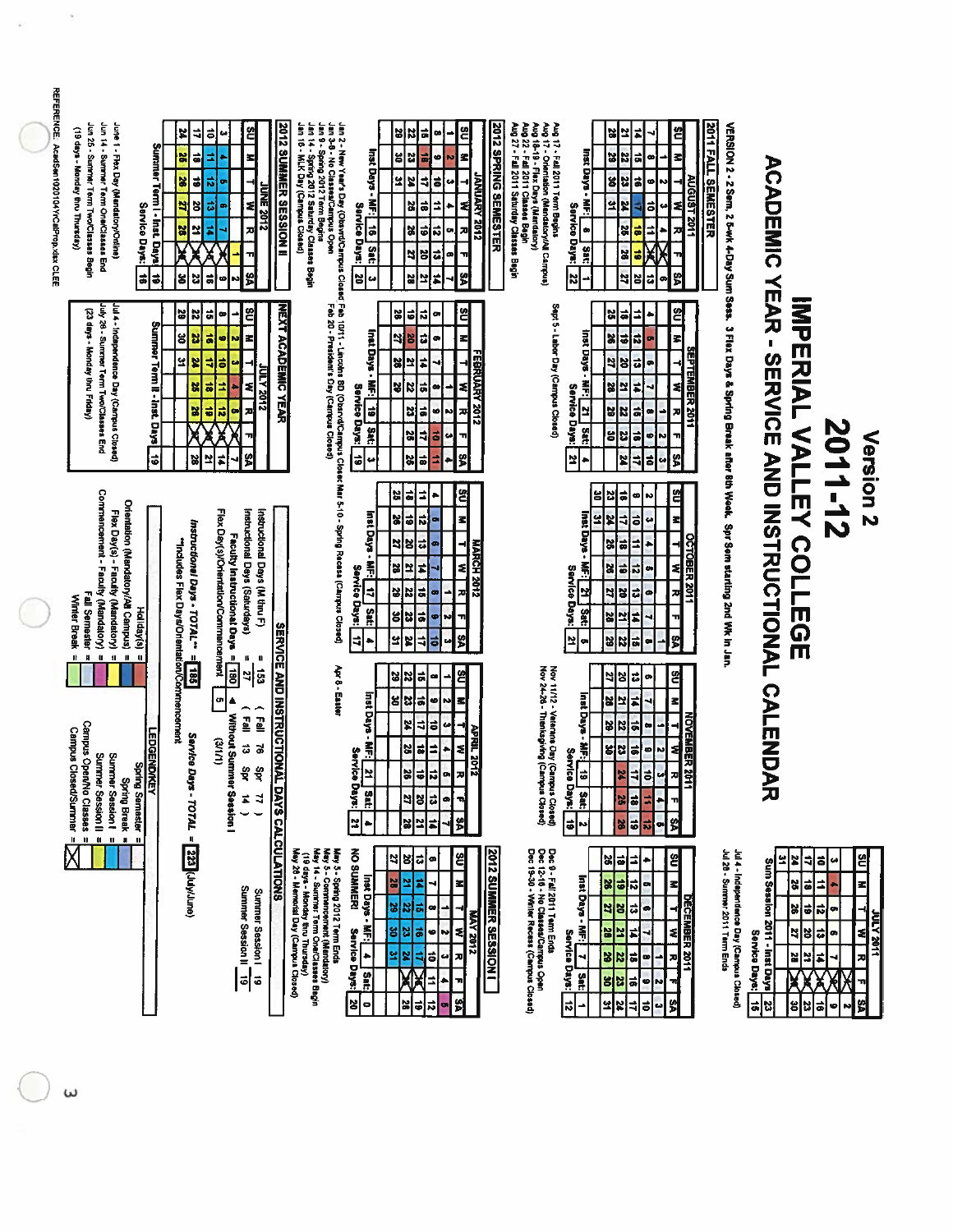| REFERENCE. AcadSen1020104YrCalProp.xlsx CLEE | Jun 25 - Summer Term Two/Classes Begin<br>Jun 14 - Summer Term One/Classes End<br>June 1 - Flex Day (Mandatory/Orline)<br>(19 days - Monday thru Thursday)<br>Service Days:<br>$\overrightarrow{ }$                                         | 24<br>4<br>Summer Term I - Inst. Days<br>ã<br>뇞<br>õ<br>S.<br>2<br>Ŋ<br>Ľ<br>¦<br>t<br>ដ<br>g                                        | <u>ප</u><br>$\vec{p}$<br>68<br>z<br>₫<br>굲<br><b>UNE 2012</b><br>z<br>대<br>z<br>륯<br>m<br>VS.<br>ま                                                                            | Jan 2 - New Yanf's Day (ObsvrdCampus Closed Fab 10/11 - Lincohn 8D (ObsrvdCampus t<br>Jan 2 - New Yanf's Day (ObsvrdCampus<br>Jan 8 - Spiring 2012 Tarm Beusia<br>Jan 14 - Spring 2012 Salurday Classes Begin<br>Jan 16 - MLK Day (Campus<br><b>2012 SUMMER SESSION II</b> | <u>ឌ</u><br>예8<br>$\vec{a}$<br>œ<br>z<br>Inst Days - MF: [16]<br>ま<br>ũ<br>ន<br>۰<br><b><i><u>2102 ANVINNY</u></i></b><br>-<br>z<br>4<br>9<br>ë<br>u<br>┫<br>ä<br>÷<br>2<br>Service Days:<br>ø<br>\$<br>ñ<br>예<br>o,<br>$\frac{1}{2}$<br>ã<br>ŏ<br>비<br>œ<br>π<br>S<br>×<br>넘<br>넓<br>2<br>t.                                                                                                        | 2012 SPRING SEMESTER<br>Aug 18-19 - Flex Days (Mandatory)<br>Aug 22 - Fall 2011 Classes Begin<br>Aug 17 - Fall 2011 Term Begins<br>Aug 17 - Orientation (Mandatory/All Campus)<br>Aug 27 - Fall 2011 Saturday Classes Begin<br>ຌ<br>비지<br>치<br>۰<br>inst Days -<br>긂<br>뢰<br>32<br>œ<br>AUGUST 2011<br>읭<br>る<br>IZ.<br>6<br>÷<br>옆<br>ô<br>r<br>٤<br>Ç.<br>Service<br>8<br>≐<br>38<br>껴<br>łФ<br>Days:<br>Sat:<br><b>seX</b><br>2<br>S<br>$\overline{\mathbf{z}}$<br>ã<br>ø<br>l8 | 2011 FALL SEMESTER                                                                                                  |                                                                                                                                                                                                                 |                                                                                                                                                                                                                               |
|----------------------------------------------|---------------------------------------------------------------------------------------------------------------------------------------------------------------------------------------------------------------------------------------------|--------------------------------------------------------------------------------------------------------------------------------------|-------------------------------------------------------------------------------------------------------------------------------------------------------------------------------|----------------------------------------------------------------------------------------------------------------------------------------------------------------------------------------------------------------------------------------------------------------------------|------------------------------------------------------------------------------------------------------------------------------------------------------------------------------------------------------------------------------------------------------------------------------------------------------------------------------------------------------------------------------------------------------|------------------------------------------------------------------------------------------------------------------------------------------------------------------------------------------------------------------------------------------------------------------------------------------------------------------------------------------------------------------------------------------------------------------------------------------------------------------------------------|---------------------------------------------------------------------------------------------------------------------|-----------------------------------------------------------------------------------------------------------------------------------------------------------------------------------------------------------------|-------------------------------------------------------------------------------------------------------------------------------------------------------------------------------------------------------------------------------|
|                                              | July 26 - Surremer Term Two/Classes End<br>Jul 4 - Independence Day (Campus Closed)<br>(23 days - Monday thru Friday)                                                                                                                       | $\boldsymbol{z}$<br>均<br>Summer Term II - Inst. Days<br>뭖<br>္တ<br>ã<br>잌<br>¥<br>ä<br>馏<br>×<br>ö<br>$\overrightarrow{6}$<br>보<br>얺 | <u>ප</u><br>ã<br>$\bullet$<br>¤<br>z<br>ø<br>=<br>ē<br><b>STOS Y TUT</b><br>z<br>71<br>ᄛ<br>ᆔ<br>g<br>$\sharp$                                                                | <b>NEXT ACADEMIC YEAR</b>                                                                                                                                                                                                                                                  | ဗ္ဓ<br>이의<br>ñ<br>œ<br>Inst Days - MF:<br>E)<br>됙<br>œ<br>₹<br>BI<br>FEBRUARY 2012<br>#<br>X<br>≅<br>ä<br> z <br>≉<br>œ<br>Service<br>$\frac{1}{6}$<br>ä<br>ø<br>23<br>N<br>iskig.<br>Sat:<br> ង<br>ᆌ<br>ã<br>u<br>$\ddot{\bullet}$<br>뗽<br>$\frac{1}{16}$<br>36<br>⋣<br>u<br>٠                                                                                                                      | Sept 5 - Labor Day (Campus Closed)<br>ଅ<br>예<br>$\overline{\bullet}$<br>►<br><b>Inst Days</b><br>36<br>$\overline{6}$<br>Б<br>冡<br>z<br><b>SEPTEMBER 2011</b><br>$\mathbf{S}_i$<br>P<br>$\overline{\mathbf{c}}$<br>릤<br>ä<br>2<br>٤<br>Service Days:<br>보<br>59<br>B<br>히<br>고<br>œ<br><b>Sat:</b><br>g<br>23<br>る<br>ø,<br>N<br>S<br>Ľ<br>z<br>ᅨ<br>히<br>w                                                                                                                        |                                                                                                                     |                                                                                                                                                                                                                 |                                                                                                                                                                                                                               |
|                                              | Commencement - Faculty (Mandatory)<br>Orientation (Mandatory/All Campus)<br>Flex Day(s) - Faculty (Mandatory)<br>Fall Semester<br>Winter Break<br>Hollday(s)<br>n<br>$\pmb{\mathfrak{u}}$<br>$\pmb{u}$<br>$\mathbf{u}$<br>Ħ<br>$\mathbf{u}$ | Instructional Days - TOTAL <sup>m</sup> =<br>"Includes Flex Days/Orientation/Commencement                                            | Flex Day(s)/Orientation/Commencement<br>Instructional Days (Saturdays)<br>Instructional Days (M thru F)<br>Faculty Instructional Days = 180                                   | Closec Mar 5-10 - Spring Recess (Campus Closed)                                                                                                                                                                                                                            | 염<br>25<br> a <br>⇉<br>٠<br>a Sang Daya<br>Ľ,<br>예의<br>로<br>o<br>의<br><b>MARCH 2012</b><br> 8 <br>ᇙ<br>$\frac{2}{3}$<br>≅<br>¥<br>t<br>R<br>Service Days:<br>ᅨ<br>비<br>티<br>12<br>∸<br>지<br>œ<br>Sat:<br>ő<br>ま<br>23<br>۳<br>ø<br>3<br>비<br>쓁<br>$\overline{1}$<br>×<br>œ                                                                                                                           | 옄<br>ã<br>읿<br>ន<br>œ<br>ln<br>z<br>inst Days -<br>2<br>X<br>긗<br>$\overline{\bullet}$<br>ى<br>$\overline{ }$<br>X<br>ä<br><b>CBER</b><br>ź<br>Ī<br>$\ddot{\bullet}$<br>×<br>总<br>œ<br>Service Days:<br>š<br>æ<br>ᅨ<br>ã<br>역<br>디<br>۰<br>Sat:<br>71<br>28<br>Ľ<br>Ŧ,<br>∣¤<br>39<br>န္မ<br>22<br>a,<br>œ<br>$\bullet$                                                                                                                                                            | VERSION 2 - 2 Sem, 2 5-wk 4-Day Sum Sess. 3 Flex Days & Spring Break after 6th Week. Spr Sem starting 2nd Wk in Jan | <b>ACADEMIC YEAR - SERVICE AND INSTRUCTIONAL</b><br><b>IMPERIAL VALLEY COLLEGE</b>                                                                                                                              | 2011-12<br>Version <sub>2</sub>                                                                                                                                                                                               |
|                                              | Carnpus Open/No Classes<br><b>Campus Closed/Surmner</b><br><b>LEDGENDIKEY</b><br>Summer Session II<br>Spring Break =<br>Summer Session f =<br><b>Spring Semester</b>                                                                        | <b>S81</b><br>Service Da<br>$36 - 207AL =$                                                                                           | $\mathbf u$<br>$\mathbf{u}$<br>의중<br>un<br>Ą<br>(Eq <sub>m</sub> )<br>$\overline{E}$<br>Without Summer Session I<br>(1112)<br>ã<br>ă<br>å<br>Şρr<br>$\vec{p}$<br>$\mathbf{z}$ | <b>SERVICE AND INSTRUCTIONAL</b><br>Apr 8 - Easter                                                                                                                                                                                                                         | ¥<br>$\mathbf{z}$<br>٤<br> ã <br>$\bullet$<br>∸∣<br>Inst Days<br>g<br>Z<br>N<br>Ξ<br>'a<br>ဗ<br>¥<br>₹<br>៊<br>مە<br>APRIL 2012<br>₹<br>$\blacksquare$<br>帚<br>38<br>$\overline{\bullet}$<br>킈<br>Service<br>ᆔ<br>is.<br>$\bullet$<br>의<br>히<br><b>Days:</b><br>as<br>11<br>2<br>8<br>に<br>T,<br>œ<br>\$<br>Ľ<br>X<br>비지<br>۰                                                                        | Nov 11/12 - Veterans Day (Campus Closed)<br>Nov 24-28 - Thenksgiving (Campus Closed)<br><u>ឌ</u><br>예<br>ಇ<br>$\bullet$<br>Inst Days -<br>s<br>Ľ<br>넓<br>¥,<br>NOVEMBER 20<br>٩<br>위<br>ā<br>N<br>œ<br>╡<br>瓢<br>$\frac{1}{2}$<br>23<br>均<br>œ<br>N<br>Service Days:<br>부<br>ᆔ<br>히<br><b>A</b><br>M,<br>⊐<br>Sat:<br>5<br>71<br>꼶<br>Б<br>٠<br>ହା<br>$\ddot{\phantom{a}}$<br>5<br><b>B</b><br>$\overline{\mathbf{z}}$<br>œ,<br>N                                                  |                                                                                                                     | <b>CALENDA</b><br>元                                                                                                                                                                                             |                                                                                                                                                                                                                               |
|                                              | $\mathbf u$<br>$\blacksquare$<br>D<br>ш                                                                                                                                                                                                     | 223 (July/June)                                                                                                                      | Summer Session II 19<br>Summer Session!<br>6                                                                                                                                  | DAYS CALCULATIONS<br>May 5 - Spring 2012 Term Ends<br>May 14 - Surmwar Term ChelClasses Bagin<br>Nay 14 - Surmwar Term ChelClasses Bagin<br>(19 days - Monday tim Thursday)<br>May 26 - Memorial Day (Carnput Closed)                                                      | NO SUMMERI<br><b>2012 SUMMER SESSION I</b><br>읙<br>2<br>B<br>ã<br>œ<br>Inst Days - MF: <br>z<br><u>s</u><br>었<br>법<br>N<br>ᄛ<br>⊣<br>œ<br><b>MAY 2012</b><br>ِ<br>اگ<br>ႜ<br>얺<br> ä<br>Service Days:<br>$\bullet$<br>l w<br>$\frac{4}{1}$ sat:<br>æ<br>×<br>엎<br>s,<br>티<br>$\bullet$<br>ЖÃ<br>$\overline{\phantom{a}}$<br>E,<br>×<br>S<br>$\overline{\bullet}$<br>20<br>$\frac{1}{2}$<br>$\bullet$ | Dec 9 - Fall 2011 Term Ends<br>Dec 12-16 - No Classes/Carrpus Open<br>Dec 19-30 - Wirter Recess (Carrpus Closed)<br>ຌ<br>의해<br>⇉<br>Inst Days - MF:   7<br>跳<br>$\ddot{\bullet}$<br>ñ<br>로<br>œ<br>DECEMBER 2011<br>ಧೆ<br>$\mathbf{z}$<br>비<br>ø<br>Ż,<br>≼<br>꾀<br><b>B</b><br>ч<br><b>Service</b><br>ä<br>찌<br>$rac{2}{36}$<br>œ<br>۳<br>Days:<br>Sat:<br>a<br>$\frac{3}{8}$<br>¢<br>N<br>의치<br>엙<br>ᅨ<br>$\frac{1}{2}$<br>$\vec{a}$<br>w<br>÷                                   | Jul 28 - Summer 2011 Term Ends<br>Jul 4 - Independence Day (Campus Closed)                                          | Ľ<br>×<br>ᆌ<br>Sum Session 2011 - Inst Days<br>$\overline{\bullet}$<br>82<br>$\ddot{\bullet}$<br>S,<br>비<br>2<br>Service Days:<br>N<br>2<br>K<br>X<br>X<br>g<br>$\vec{a}$<br>$\vert \mathbf{a} \vert$<br>ដ<br>ដ | ≌<br>õ<br>$\boldsymbol{\omega}$<br>z<br>≐<br>$\begin{array}{c} \mathbf{M} & \mathbf{I} \end{array}$<br>$\vec{a}$<br>o,<br><b>JIOZ ATIO</b><br>$\ddot{\phantom{a}}$<br>ø<br>$\overline{z}$<br>#<br>⊣<br>Х<br>ᄁ<br>58<br>¢<br>N |

ι<br>ω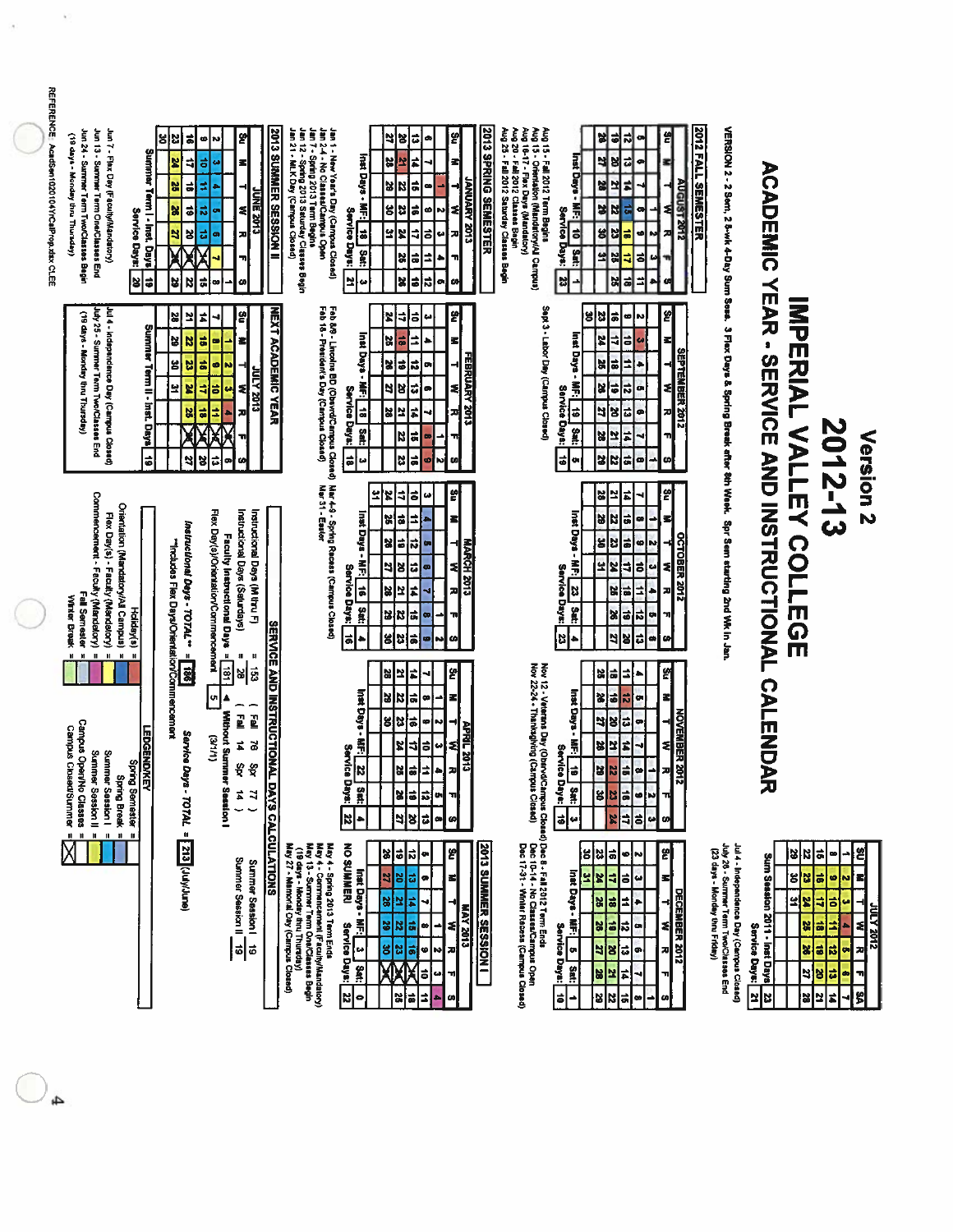| REFERENCE: AcadSen1020104YrCalProp.xlsx.CLEE | Jun 24 - Summer Term Two/Classes Begin<br>Jun 13 - Summer Term One/Classes End<br>Jun 7 - Flex Day (Feculty/Mandatory)<br>(yabays - Monday thru Thursday)                                                         | ៵<br>S<br>i =<br><b>Summer</b><br>×<br>X<br>히<br>Term I - Inst. Days<br>X<br>$\vert \bullet \vert$<br>Service Days:<br>N<br>혀<br>이후<br>¥ | 뛹<br>ø<br>N,<br>ᆌ<br>ㅎ<br>≤∣<br><b>G</b><br>≠<br><b>CLOZ 3NOC</b><br>ಸ<br>1<br>o<br>ಧ<br>괴<br>œ<br>ᆔ<br>$\vec{a}$<br>N<br>ω<br>œ                                                                                | <b>2013 SUMMER SESSION II</b><br>Jan 12 - Spring 2013 Saturday Classes Begin<br>Jan 21 - MLK Dary (Campus Closed) | Jan 1 - New Year's Day (Campus Closed)<br>Jan 2-4 - No Classes/Campus Open<br>Jan 7 - Spring 2013 Term Begine       | Inst Days - MF: 18 Set:<br>Service Days:<br>∾∣≃                                                  | $\frac{m}{m}$<br>5<br>¥<br>디<br>œ<br>2<br>$\overrightarrow{ }$<br>┪┙<br><b><i>ETOS YARKUNAI</i></b><br>×<br>$\ddot{\phantom{a}}$<br>N<br>$\frac{1}{2}$<br>g<br>ã<br>đ<br>æ<br> ن<br>넘<br>r<br>₹<br>ㅎ<br>╗<br>ă<br>F<br>≐<br> X<br>E<br>티<br>co<br>œ, | Aug 20 - Fail 2012 Classes Begin<br>Aug 25 - Fail 2012 Saturday Classes Begin<br>Aug 15 - Fall 2012 Term Begins<br>Aug 15 - Orientation (Mandatory/All Campus)<br>Aug 16-17 - Flax Days (Mandatory)<br>2013 SPRING SEMESTER                                             | 1<br>÷                                                                                        | 옑<br>엄<br>대<br>ጣ<br> ㅎ<br>더<br>계의<br>ø<br>$\frac{2}{38}$<br>회<br>$\frac{3}{2}$<br>œ<br>╡<br>N<br>비성<br>ᆈ<br>ä<br>의ង<br>ō<br>ω<br>₹<br>≐<br> ≓ <br>3S<br>۰<br>CO)                                                          | 2012 FALL SEMESTER<br><b>AUGUST 2012</b>        |                                                                                                                      |                                                              |                                                                                                                                                   |                                                                           |
|----------------------------------------------|-------------------------------------------------------------------------------------------------------------------------------------------------------------------------------------------------------------------|------------------------------------------------------------------------------------------------------------------------------------------|-----------------------------------------------------------------------------------------------------------------------------------------------------------------------------------------------------------------|-------------------------------------------------------------------------------------------------------------------|---------------------------------------------------------------------------------------------------------------------|--------------------------------------------------------------------------------------------------|------------------------------------------------------------------------------------------------------------------------------------------------------------------------------------------------------------------------------------------------------|-------------------------------------------------------------------------------------------------------------------------------------------------------------------------------------------------------------------------------------------------------------------------|-----------------------------------------------------------------------------------------------|---------------------------------------------------------------------------------------------------------------------------------------------------------------------------------------------------------------------------|-------------------------------------------------|----------------------------------------------------------------------------------------------------------------------|--------------------------------------------------------------|---------------------------------------------------------------------------------------------------------------------------------------------------|---------------------------------------------------------------------------|
|                                              | Jul 4 - Independence Day (Carrous Closed)<br>July 25 - Surmmer Term Two/Classes<br>(19 days - Monday thru Thursday)<br>፱                                                                                          | ዼ<br>꾀<br>Summer<br>성<br>N<br>ន<br>뵵<br>Term II -<br>뇌<br>뇌<br>Inst. Days<br> 히<br>네                                                     | 읽<br>ī.<br>⊣<br>ä<br>$\bullet$<br>삐<br>ã<br>ø<br>×<br><b>2102 XJMC</b><br>₹<br>ä<br>€<br>ä<br>3<br>엶<br>Ð<br>æ<br>g<br>ಕ<br>ø<br>G)                                                                             | <b>NEXT ACADEMIC YEAR</b>                                                                                         | Feb 8/9 - Lincolns BD (Obsynd/Campus Closed)<br>Feb 18 - President's Day (Campus Closed)                            | Inst Days - MF: [ 18 ] Sat:<br>Service Days:<br>s<br>w                                           | 쓁<br>×<br>₹<br>l‡<br>⊶∣<br>z <br>ä<br>Ξ<br>X<br>FEBRUARY 2013<br>4<br>X<br>E<br> ನ<br>ᄇ<br>হ∣<br>g<br>∣ಜ<br>۰<br>ᆔ<br>S.<br>ž<br>F<br>N<br>ä<br>ᆔ<br>3<br> ã<br>ω<br><b>N</b>                                                                        | Sept 3 - Labor Day (Campus Closed)                                                                                                                                                                                                                                      | 봉<br>Inst Days<br>Ã<br>Service Days:<br>6<br>Sat:<br>lə <br>œ                                 | 쓉<br>a <br>23<br>N<br>۰<br>FZ<br>4<br>ä<br>u<br>≤<br>11<br><b>a</b><br>9<br>۰<br>X<br>œ<br>¦\$<br>¦ನ<br>0<br>$\boldsymbol{z}$<br>이성<br>괴<br>복지<br>X<br>4<br>пI<br>-<br> z z z<br>ωĮ                                       | <b>SEPTEMBER 2012</b><br>٤I                     |                                                                                                                      |                                                              | 2012-13                                                                                                                                           | Version <sub>2</sub>                                                      |
|                                              | Commercement - Faculty (Mandetory)<br>Orientation (Mandatory/All Campus)<br>Flex Day(s) - Faculty (Mandatory)<br>Fall Semester<br>Winter Break<br>$\mathbf{H}=\mathbf{H}$<br>Ĥ,<br>$\mathbf{u}$<br>$\blacksquare$ | Instructional Days - TOTAL **<br>"Includes Flex Days/Orientation/Commencement<br>Holiday(s)<br>$\mathbf{u}$<br>$\mathbf{H}$              | Flex Day(s)/Orientation/Commencement<br>Instructional Days (Saturdays)<br>Instructional Days (Mitru F)<br>Faculty Instructional Days = 181<br>H                                                                 |                                                                                                                   | Nar 4-9 - Spring Recess (Campus Closed)<br>Nar 31 - Easter                                                          | 보<br>Inst Days -<br>贾<br>Service Days:<br>$\overrightarrow{a}$<br>$\frac{1}{3}$<br>ã             | ဗူ<br>X<br>치유<br>$\boldsymbol{\omega}$<br>X<br>ã<br>₫<br>z<br> 일<br>õ<br>ಸ<br>⊣<br><b>MARCH 2013</b><br>╡<br>비리<br>ã<br>Ľ<br>28<br>ź<br>피<br>R<br>비<br>$\vec{a}$<br>'n<br>œ<br>B<br>$\frac{1}{2}$<br>8<br>co <br>$\sim$                              |                                                                                                                                                                                                                                                                         | Inst Days -<br>Ě<br>Service<br> ะ<br><b>Days:</b><br>å<br> 영                                  | 옑<br>š<br>B<br>하<br>N<br>œ<br>٠<br>3<br>M<br>š<br>40<br>ã<br>23<br>u<br>ã<br>보<br>4<br>٤l<br>z<br>$\ddot{\phantom{0}}$<br>킈<br>ä<br>26<br>ᅍ<br>$\overline{\mathbf{z}}$<br>$\frac{3}{6}$<br>m<br>비치<br><sub>co</sub>       | <b>OCTOBER 2012</b>                             | VERSION 2 - 2 Seri, 2 5-wk 4-Day Sum Sess. 3 Flax Days & Spring Break after 8th Week. Spr Sem starting 2nd Wk in Jan | <b>ACAPEMIC YEAR - SERVICE AND INSTRUCTIONAL</b>             | <b>IMPERIAL VALLEY COLLUGE</b>                                                                                                                    |                                                                           |
|                                              | <b>Campus Open/No Classes</b><br><b>Campus Closed/Summer</b><br>Sunmer Session   =<br>Summer Session II<br><b>Spring Break</b>                                                                                    | 3<br><b>LEDGENDIKEY</b><br>Sarrice Da<br><b>Spring Semester</b>                                                                          | $\pmb{\mathfrak{u}}$<br>日<br><u>لا</u><br>$\begin{bmatrix} 1 \\ 2 \\ 3 \end{bmatrix}$<br>$P = 1$<br><b>Without Surrune</b><br>$(1/1/\mathcal{E})$<br>$\sharp$<br>ă<br>δp<br>ξà<br><b>W Session I</b><br>Ë,<br>N | <b>SERVICE AND INSTRUCTIONAL</b>                                                                                  |                                                                                                                     | Inst Days - MF:<br><b>Service</b><br>$\overline{\mathbf{z}}$<br><b>Days:</b><br>Satt<br> ะ∣<br>٠ | 와<br>75<br>ī<br>읾<br>ã<br> 입  3 <br>œ<br>z<br>$\frac{1}{9}$<br>13<br>œ<br>N<br><b>APRIL 2013</b><br>4<br>2<br>\$<br>됙<br>$\bullet$<br>$\Rightarrow$<br>비<br>Ê<br>계<br>٠<br>õ<br>ñ<br> ¥<br>$\bullet$<br>ᆔ<br>ã<br> ন ষ<br>œ<br>예                     |                                                                                                                                                                                                                                                                         | Insti Days -<br>퉦<br><b>Service</b><br> a <br>Days:<br>Sat:<br>$\overline{\phantom{0}}$<br>e, | 의<br>ã<br> a<br>킈<br>X<br>'s<br>ョ<br>Ы<br>œ<br>4<br> 8 급<br>œ<br>8<br>Ľ<br>$\frac{2}{3}$<br>$\frac{1}{2}$<br>$\overline{\phantom{0}}$<br>$\bullet$<br>w<br>$\frac{3}{8}$<br>Þ<br>۰<br>괴<br>$\frac{1}{2}$<br>لما<br>z<br>ω | NOVEMBER 2017<br>TOVEMBER 2017                  |                                                                                                                      | CALENDA<br>ᅎ                                                 |                                                                                                                                                   |                                                                           |
|                                              | $\mathbf{H}$<br>$\pmb{\mathfrak{u}}$<br>н                                                                                                                                                                         | /s - 707AL = 313 (July/June)<br>$\blacksquare$                                                                                           | Summer Session II 19<br>Summer Seasion I<br>$\vec{5}$                                                                                                                                                           | DAYS CALCULATIONS<br>(19 days - Monday thru Thursday)<br>May 27 - Memorial Day (Campus Closed)                    | May 4 - Spirig 2013 Term Ends<br>May 4 - Commencement (Faculty/Mandatory)<br>May 13 - Summer Term CnetClasses Begin | <b>NO SUMMERI</b><br>Inst Days - MF:<br>Service!<br>t.<br><b>Days:</b><br>Sat:<br>비<br>$\bullet$ | IJ<br>প্ৰ<br>예의<br>œ<br>圖<br>ದೆ<br>3<br>œ<br>로<br>28<br><b>ELOZ AVIN</b><br>青<br>$\frac{2}{3}$<br>œ<br>치<br>6<br>a)<br>영 <mark>영</mark><br>N<br>져<br>ã<br><b>س</b><br>ᅰ<br>⋣<br> ∍<br>읾<br>å.<br>œ                                                   | Nov 12 - Veterans Day (Obstrod/Campus Closad) Dec 8 - Fall 2012 Term Ends<br>Nov 22-24 - Thankagiving (Campus Closad)<br>Dec 17-31 - Thankagiving (Campus Closad)<br>Dec 17-31 - Winiter Record (Dec 17-31 - Winiter Recoss (Campus Clo<br><b>2013 SUMMER SESSION I</b> | is<br>Inat Days - MF:<br>31<br><b>Service Days:</b><br>$\bullet$<br>$\frac{1}{2}$<br>t<br>د   | 쎩<br>얺<br>히<br>ಅ∣∾∣<br>X<br>4<br>15<br>u<br>로<br>28<br>51<br>E<br>$\rightarrow$<br>6<br>56<br>$\overline{\mathbf{r}}$<br>≉<br>œ<br>비<br>ᆔ<br>B<br>$\vec{u}$<br>ø,<br>¥<br>28<br>F<br>ᆔ<br>N<br>B<br>ã<br>Ø<br> œ          | (23 days - Monday thru Friday)<br>DECEMBER 2012 | Jul 4 - Independence Day (Cempus Closed)<br>July 26 - Summer Term Two/Classes End                                    | Sum Seasion 2011 - Inst Days<br>g<br>Service Days:<br>N<br>ដ | ã<br>$\frac{2}{3}$<br>œ<br>ä<br>법<br>ø<br>의보<br>¢<br>õ<br>ž<br>ä<br>3<br>ñ<br>$\overrightarrow{a}$<br>예<br>ã<br> 뇌 <mark>종</mark><br>31<br>æ<br>t | 옘<br>터<br>Œ<br><b>SPOS YJULL</b><br>≼<br>ø<br>ø<br>'n<br>$\bullet$<br>\$İ |

 $\bigcirc$ 

k)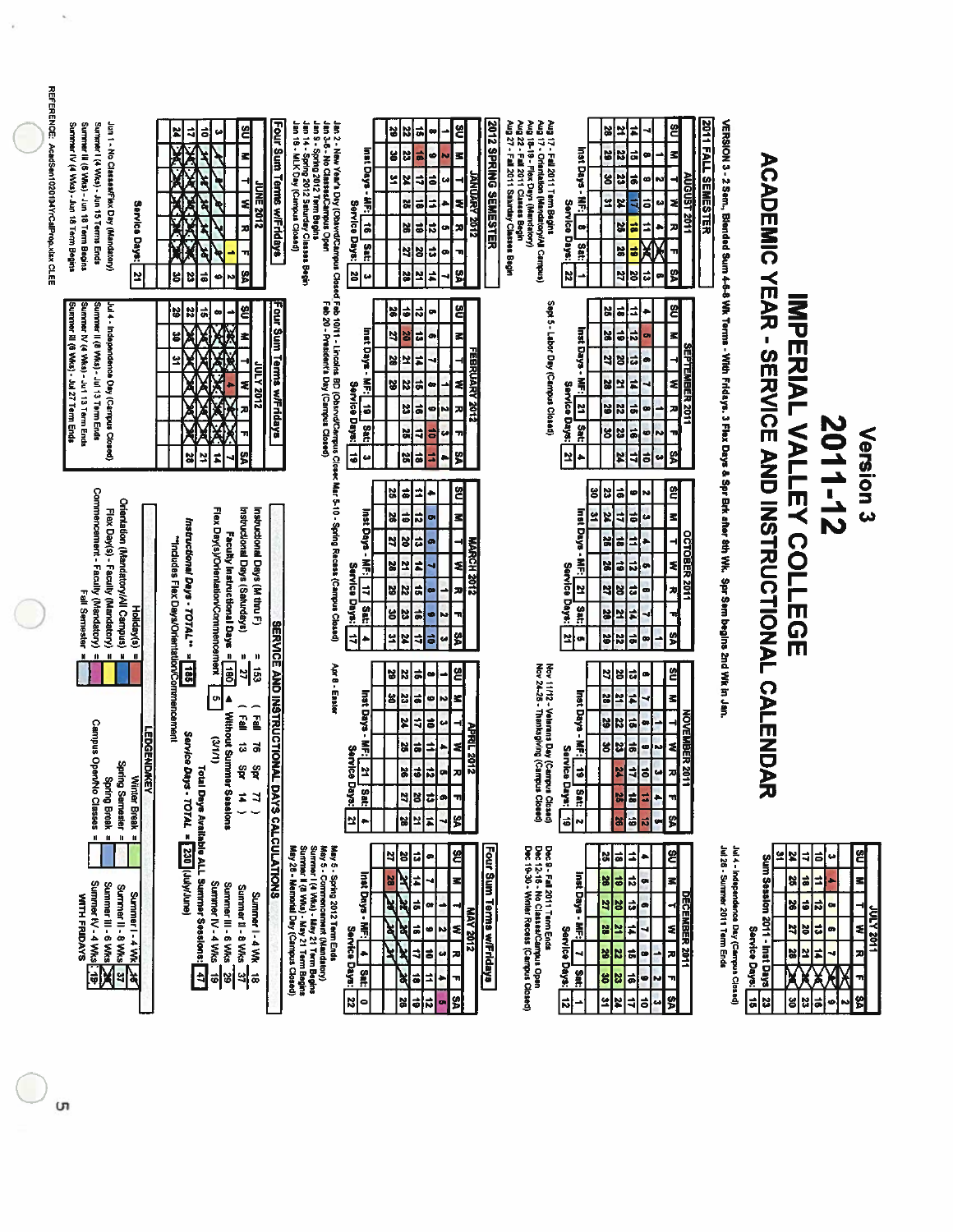| <b>REFERENCE:</b><br>AcadSen1020104YrCalProp.xlsx CLEE | Summer IV (4 Wks) - Jun 18 Term Begins<br>Summer III (6 Wks) - Jun 18 Term Begins<br>Surrener I (4 Wks) - Jun 15 Terms Ends<br>Jun 1 - No Classes/Flex Day (Mandatory)<br>Service Days:<br>$\overline{12}$ | Four Sum Terms w/Fridays<br>an 14 - Spring 2012 Seturday Classes Begin<br>an 16 - MLK Day (Campus Closed)<br>٤<br>ř<br>₹<br>ㅎ<br>۳<br>z<br><b>2102 SNNP</b><br>\$<br>ষ্<br>人名<br>٩<br>계<br>고<br>g<br>g<br>ដូ<br>۰þ<br> a<br>N                                                                                                                                                                                                                                            | <b>2012 SPRING SEMESTER</b><br>Jan 2 - New Year's Day (ObsvrdCampus<br>Jan 3-5 - No Classes/Campus Open<br>Jan 3 - Sping 2012 Term Begins<br>ë<br>비<br>$\vec{a}$<br>N<br>œ<br>z<br>Inst Days - MF: <br>Ľ<br>ä,<br>g<br>ø<br>$\overline{a}$<br>보<br>z<br>╕<br>ē<br><b><i>THOSPY 2012</i></b><br>z<br>ã<br>た<br>ä<br>Service Days:<br>$\frac{31}{2}$<br>æ<br>s<br>$\frac{1}{2}$<br>X<br>œ۱<br>Satt<br>$\vec{u}$<br>뎨<br>g<br>$\blacksquare$<br>ø<br>Ľ<br>ç,<br>23<br>비<br>¥<br>u | 2011 FALL SEMESTER<br>Aug 22 - Fall 2011 Cinness Begin<br>Aug 27 - Fall 2011 Saturday Classes Begin<br>Aug 17 - Fall 2011 Term Begins<br>Aug 17 - Orientation (Mandatory/All Campus)<br>Aug 18-19 - Flex Days (Mandatory)<br>씝<br>엶<br>×<br>F<br>s<br>Inst Days - MF:<br>N<br>ä<br>29<br>23<br>뉭<br>$\vec{a}$<br>NGUST 2011<br>∞<br>٤<br>엌<br>¥<br>ㅎ<br>₹<br>Service Days:<br>52<br>00<br>Ħ<br>7)<br>ë<br>Sat:<br>58<br>$\ddot{\phantom{a}}$<br>$rac{2}{32}$<br>ଞ୍ଜା<br>12<br>$\overline{\mathbf{u}}$<br>÷ | VERSION 3 - 2 Sem, Blended Sum 4-6-8 Wk Tems - With Fridays. 3 Flex Days & Spr Bdk after 8th Wk. Spr Sem begins 2nd Wk in Jan                                                                                                                                                                                                                                                                          |
|--------------------------------------------------------|------------------------------------------------------------------------------------------------------------------------------------------------------------------------------------------------------------|--------------------------------------------------------------------------------------------------------------------------------------------------------------------------------------------------------------------------------------------------------------------------------------------------------------------------------------------------------------------------------------------------------------------------------------------------------------------------|--------------------------------------------------------------------------------------------------------------------------------------------------------------------------------------------------------------------------------------------------------------------------------------------------------------------------------------------------------------------------------------------------------------------------------------------------------------------------------|------------------------------------------------------------------------------------------------------------------------------------------------------------------------------------------------------------------------------------------------------------------------------------------------------------------------------------------------------------------------------------------------------------------------------------------------------------------------------------------------------------|--------------------------------------------------------------------------------------------------------------------------------------------------------------------------------------------------------------------------------------------------------------------------------------------------------------------------------------------------------------------------------------------------------|
|                                                        | Summer III (6 VVks) - Jul 27 Term Ends<br>Summer IV (4 V/ks) - Ju1 13 Term Ends<br>Summer II (8 VWs) - Jul 13 Term Ends<br>Jul 4 - Independence Day (Carrpus Closed)                                       | Four Sum Terms wiFridays<br>٤<br>39<br>Z<br>$ \vec{r} $<br>ه<br>$\bullet$<br>g<br>美人类<br>£<br>의<br><u> 2102 A JINE</u><br>Z<br>X<br>고<br>#<br>ያ<br>¥<br>빏                                                                                                                                                                                                                                                                                                                | Closed Feb 10/11 - Lincolns BD (Chsrvd/Campus d)<br>Feb 20 - President's Day (Campus Closed)<br>읩<br>인<br>이하<br>œ<br>inst Days -<br>ä<br>4<br>B<br>Ŧ.<br>Ō)<br>FEBRUARY 2012<br>#<br>PS.<br>보<br>$\frac{2}{3}$<br>$\ddot{\phantom{a}}$<br>ź<br>이없<br><b>Service</b><br>œ<br><b>ö</b><br>ā<br>비<br>G<br>괴<br>N<br>Days:<br>Sat:<br>4<br>38<br>ã<br>u<br>π<br>뛹<br>$\bullet$<br>비<br>비<br>$\omega$<br>$\overline{1}$<br>f                                                        | Sept 5 - Labor Day (Campus Closed)<br>ඵ<br>$\ddot{\bullet}$<br>$\ddot{ }$<br>비<br><b>Inst Days</b><br>#<br>$\overline{5}$<br>z<br>님<br>Ë<br>ದ<br>ă<br>트레리<br>$\bullet$<br>Ī<br>z<br>보<br>ź<br>ઢ<br>Service Days:<br>Ľ<br>$\frac{25}{25}$<br>$\vec{ }$<br>2011<br><b>J</b><br>œ<br>Sat:<br> 3 <br>51<br>٦ļ<br>ø<br>ဗျ<br>부<br>보<br>12<br>٠                                                                                                                                                                  | Version <sub>3</sub>                                                                                                                                                                                                                                                                                                                                                                                   |
|                                                        | Commencement - Faculty (Mandatory)<br>Orientation (Mandatory/All Carnpus)<br>Flex Day(s) - Faculty (Mandatory)<br>Fall Semester<br>Holiday(s)                                                              | Flex Day(s)/Orientation/Commencement<br>Instructional Days (Saturdays)<br>Instructional Days (M thru F)<br>Instructional Days - TOTAL <sup>**</sup><br>Faculty Instructional Days = 180<br>"Indudes Flex Days/Orientation/Commencement                                                                                                                                                                                                                                   | Closec Mar 5-10 - Spring Recess (Campus Closed)<br>옘<br> 유  정 <br>⋣<br>÷<br>inst Days<br>$\overline{\mathbf{5}}$<br>56<br> #<br>o<br>뢰<br>ã<br>2<br> ੪<br><b>MARCH 2012</b><br>ø<br>z<br>ħ<br>$\frac{2}{38}$<br>≋<br>Service Days:<br>ᅨ<br><b>a</b><br>$\frac{2}{3}$<br>찌<br>œ<br>sa:<br>35<br>اڭ<br>ø<br>N<br>n<br>\$<br>억<br>đ<br>P<br>ᆌ<br>데<br>u                                                                                                                           | 임<br>ā<br>8<br>13<br>G<br>N<br>Inst Days - MF:<br>s<br>뙤<br>$\overline{a}$<br> X<br>u<br>s<br><b>DCTOBER 2011</b><br>⋣<br>۳<br>급<br>×<br>ź<br>ã<br>$\vec{a}$<br>예<br>Service<br>۰<br>$\overline{\mathbf{z}}$<br>$\overline{\mathbf{a}}$<br>ls <br>찌<br>3<br>œ<br><b>Days:</b><br>Sat<br>i,<br>비의<br>ᆏ<br>s.<br>ä<br>의<br>$rac{28}{28}$<br>œ<br>œ                                                                                                                                                           | <b>ACADEMIC XEXA - SEANICE AND INSTRUCTIONAL</b><br><b>IMPERIAL VALLEY COLLECT</b><br>2011-12                                                                                                                                                                                                                                                                                                          |
|                                                        | $\mathbf{u}$<br>$\mathbf{u}$ $\mathbf{v}$ $\mathbf{u}$<br>х<br><b>Campus OpenNo Classes</b><br><b>LEDGENDIKEY</b><br>Spring Semester<br>Winter Break<br>Spring Break =                                     | <b>SERVICE AND INSTRUCTIONAL</b><br>$\pmb{\mu}$<br>$= 153$<br>$\mathbf u$<br>381<br>의<br>o,<br>$\begin{pmatrix} 1 & 1 \\ 1 & 1 \end{pmatrix}$<br><b>Without Summe</b><br>ē<br>Service Daj<br>(1/1/2)<br>ã<br>ä<br>इँ<br>ई<br><b>IF Sessions</b><br>#<br>$\frac{11}{2}$                                                                                                                                                                                                   | Apr 8 - Easter<br>옘<br>$\ddot{\phantom{0}}$<br>있었<br>$\bullet$<br>Inst Days<br>영업<br>(â)<br>¢<br>×<br>N<br>ã<br>r<br>킈<br>u<br><b>APRIL 2012</b><br> z <br>₿<br>$\frac{2}{3}$<br>٠<br>3<br>Service<br>$\frac{1}{26}$<br>21<br>메<br>ᄳ<br><b>Days:</b><br><b>Sat:</b><br>ö<br>$\frac{25}{27}$<br>ø<br>ᆔ<br>\$<br>#<br>Ľ<br>지역<br> ≁                                                                                                                                              | Nov 11172 - Veterans Dey (Cempus Closed)<br>Nov 24-26 - Thanksgiving (Campus Closed)<br>엳<br>ã<br>13<br>9<br>$\bullet$<br>Inst Days -<br>F<br>뢰<br>N<br>R<br>NOVEMBER 201<br>ä<br>۳<br>62<br>2<br>œ<br>图<br>51<br>≼<br>š<br> 업<br>¢<br>N<br>Service<br>i.<br>ᅨ<br>껇<br>져<br>예<br><b>Baya:</b><br>Satt<br>s)<br>급<br>٠<br>ᆔ<br>s<br>S<br>61<br>$\overline{\bullet}$<br>$\vec{v}$<br>o<br>놊<br>N                                                                                                             | <b>CALENDA</b><br>ヵ                                                                                                                                                                                                                                                                                                                                                                                    |
|                                                        | $\mathbf{H}$<br>$\mathbf{u}$<br>$\mathbf{u}$<br>Summer 11 - 6 Wits <b>XX</b><br>Summer IV - 4 Wits <b>XX</b><br>Summer II - 8 Wks<br>Summer I - 4 WK<br>WITH FRIDAYS<br>$\frac{4}{3}$                      | Total Days Available ALL Summer Sessions:<br><b>PS - TOTAL = 330</b> UNVJune)<br>DAYS CALCULATIONS<br>May 5 - Spring 2012 Term Enda<br>May 5 - Spring 2012 Term Enda<br>Sunre I (4 Was) - May 21 Term Begins<br>Sunrer I (4 Was) - May 21 Term Begins<br>Sunrer I (8 Was) - May 21 Term Begins<br>May 28 - Memorial Day (Campus Closed)<br>Summer IV - 4 Wks<br>Summer III - 6 Wks<br>Summer 11 - 8 Wks<br>Summer I - 4 Wk<br>$\frac{1}{8}$<br>$\overline{41}$<br>ᅨ<br>히 | Four Sum Terms wiFridays<br>옘<br>3<br>12<br>급<br>۹<br>Inst Days - MF:<br>28<br>치티<br>z<br>4<br>ź.<br>]≑<br>N<br>œ<br><b>MAY 2012</b><br>ধेश्व≡<br>r,<br>₹<br>Service Days:<br>Ø<br>u<br>ã,<br>킈<br>지<br>åt:<br>ষ<br>ā<br>۰<br>¦৯<br>\$<br>as<br>S<br>đ<br>¦ನ<br>œ<br>$\bullet$                                                                                                                                                                                                 | Dec 9 - Fall 2011 Term Ends<br>Dec 12-16 - No Classes/Carrous Open<br>Dec 19-30 - Winter Recess (Carrous Closed)<br>쓍<br>≐<br>S.<br> ä<br>٠<br><b>Inst Days</b> -<br>$\vec{u}$<br>$\overline{\bullet}$<br>8<br>z <br>œ<br>DECEMBER 2011<br>의<br>대<br>18<br>$\bullet$<br>≼<br>Ě<br>55<br>F<br>$\mathbf{z}$<br>Service Days:<br>4<br>$\vec{a}$<br>지<br> z z <br>œ<br>پ<br>$\frac{9}{2}$<br>3<br>23<br>$\vec{a}$<br>ø<br>ᆔ<br>N<br>ଞ୍ଚ<br>쎀<br>비<br>ã<br>킈<br>Z<br>6                                          | Jul 28 - Summer 2011 Term Ends<br>Jul 4 - Independence Day (Campus Closed)<br>ຌ<br>었<br>¥<br>$\ddot{ }$<br>$\vec{a}$<br>ω<br>Sum Session 2011 - Inst Days<br>z<br>ã<br>2<br>E,<br>6<br>ನ<br> 8 <br>œ<br><u> 1102 XJN</u><br>≼<br>ă<br>$\overline{\mathbf{a}}$<br>데<br>Service Days:<br>$\bullet$<br>ø<br>Ľ<br>F<br>28<br>Ă<br>$\blacksquare$<br>vs I<br>$\overline{23}$<br> #<br>ã<br>ű<br>g<br>N<br>۰ |

ີບາ

O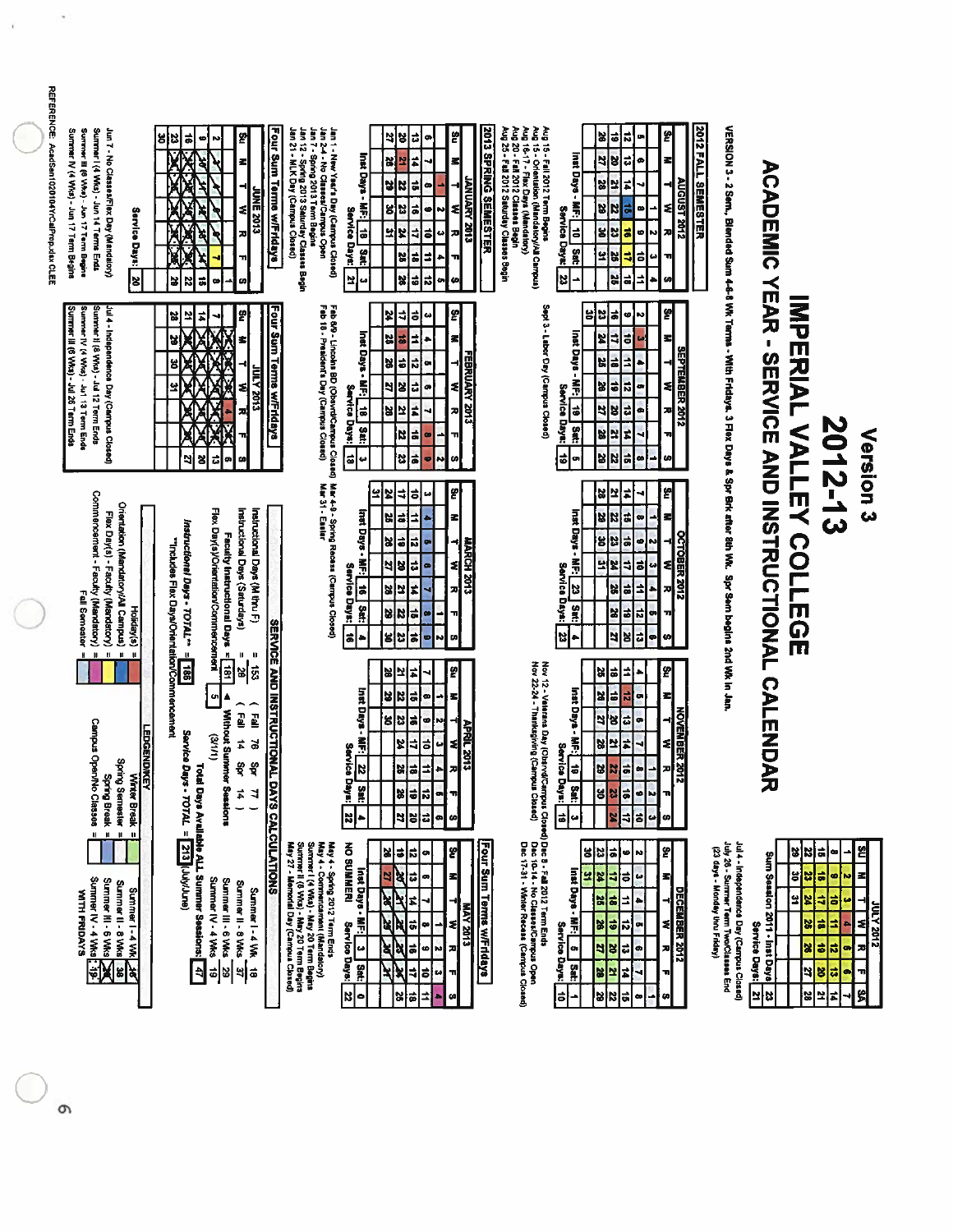| Summer III (6 V/ks) - Jun 17 Term Begins<br>Summer   (4 Wks) - Jun 14 Terms Ends<br>Summer N' (4 WKs) - Jun 17 Term Begins<br>Jun 7 - No Classes/Flex Day (Mandalory)<br>Service Days:<br>$\mathbf{z}$          | 의<br>$\overrightarrow{a}$<br>비성<br>ø<br>Ņ<br><b>XCX</b><br>श्र<br>죄<br>4<br><b>UNE 2013</b><br>ź<br>ř<br>Ø<br>z<br>द्र<br>২<br>ᆔ<br>Ŋ<br>피<br>¥<br>œ<br>Ø                                                                                                     | Four Sum Terms wiFridays<br>Jan 12 - Spring 2013 Saturday Classes Begin<br>Jan 21 - MLK Day (Campus Closed)<br>Jan 1 - New Year's Day (Cempus Closed)<br>Jan 2-4 - No Classes/Campus Open<br>Jan 7 - Spring 2013 Term Begins<br>Service Days:                   | 2013 SPRING SEMESTER<br>ဗ္<br>녧<br>S,<br>$\vec{u}$<br>œ<br>Inst Days - MF:   18<br>#<br>Ņ<br>a,<br>로<br><b>LING YARA 2013</b><br>ĸ<br>형<br>ã<br>œ<br>M<br>읭<br>ű<br>ä,<br>치<br>ø<br>  دە<br>X<br>4<br>지<br>보<br>s'<br>S<br>3<br>X<br>ä<br>⇉<br>۰<br>πI<br><b>R</b><br>u<br> = <br>o,<br>ᄓ<br>E<br>Ø | <b>2012 FALL SEMESTER</b><br>Aug 25 - Fell 2012 Saturday Classes Begin<br>Aug 20 - Fall 2012 Classes Begin<br>Aug 15 - Fall 2012 Term Begins<br>Aug 15 - Orientation (Mandatory/All Campus)<br>Aug 16-17 - Flex Days (Mandatory)<br>Ë<br>3<br>¦≂<br> a<br>o,<br>Inst Days - MF: <br>ದ<br>5<br>ø<br>B<br>Z<br>AUGUST 2012<br>38<br>≠<br>⊣<br>Z<br>ଽ<br>ಕ<br>œ<br>Service Days:<br>ĸ<br>$10$ 3st:<br>æ<br>g<br>ø<br>23<br>히<br>뇌<br>ã<br>圖<br>ᆌ<br>w<br>ى<br>23<br>$\frac{1}{\alpha}$<br>≐<br>36<br>Ø<br>۰ |                                                                                                                              |                                                                                                                                                                                                                                                                                 |
|-----------------------------------------------------------------------------------------------------------------------------------------------------------------------------------------------------------------|---------------------------------------------------------------------------------------------------------------------------------------------------------------------------------------------------------------------------------------------------------------|-----------------------------------------------------------------------------------------------------------------------------------------------------------------------------------------------------------------------------------------------------------------|-----------------------------------------------------------------------------------------------------------------------------------------------------------------------------------------------------------------------------------------------------------------------------------------------------|----------------------------------------------------------------------------------------------------------------------------------------------------------------------------------------------------------------------------------------------------------------------------------------------------------------------------------------------------------------------------------------------------------------------------------------------------------------------------------------------------------|------------------------------------------------------------------------------------------------------------------------------|---------------------------------------------------------------------------------------------------------------------------------------------------------------------------------------------------------------------------------------------------------------------------------|
| Summer III (6 Wks) - Jul 26 Term Ends<br>Summer IV (4 Wks) - Jul 13 Term Ende<br>Summer # (8 Wks) - Jul 12 Term Ends<br>Jul 4 - Independence Day (Campus Closed)                                                | g<br>4<br>치<br>に<br>Ż<br>성<br>ន<br>д<br><b>EHOZ ATNI</b><br>XOXOX<br>≼<br>z<br>π<br>ä<br>5<br>영<br>œ<br>œ                                                                                                                                                     | Fab 8/9 - Lincolns BD (Obsynt/Campus Closed)<br>Fab 18 - President's Day (Campus Closed)<br>Four Sum Terms wiFridays<br>Service Days:                                                                                                                           | 의<br>₹<br>ô<br>×<br>ده<br>Inst Days - MF:<br>z<br>õ<br>32<br>죄<br>FEBRUARY 2013<br>ä<br>ನ<br>X<br>o<br>비지<br>ã<br>1<br>œ<br>E<br>역<br>z<br>E<br>겨<br>Sat:<br>ã<br>¦¤<br>÷<br>œ<br>13<br>ä<br>비<br>$\ddot{\phantom{0}}$<br>M<br>ဖ<br>ø                                                               | Sept 3 - Labor Day (Campus Closed)<br>쓁<br>Z<br>ы<br>ま<br>۴<br>M<br>Inst Days -<br>đ<br>Z<br>ø<br>킈<br>로<br><b>SEPTEMBER 2012</b><br>X<br>₫<br>è<br>L,<br>ಹ<br>Į.<br>X<br><b>E</b><br>ź<br>÷<br>œ<br>Service Days:<br>ö<br>œ<br>5<br>급<br>æ<br>13<br>Sat:<br>B<br>Ħ,<br>B<br>4<br>71<br>$\ddot{\bullet}$<br>$\overline{\bullet}$<br>¥<br>œ<br>N<br>Ø<br>o                                                                                                                                                | VERSION 3 - 2 Sem, Blended Sum 4-8 WK Terms - With Fridays. 3 Flex Days & Spr Erk after 8th Wk. Spr Sem begins 2nd Wk In Jan | <b>ACADEMIC XEAR - SEANCE AND INSTRUCTIONAL</b><br><b>IMPERIAL VALLER COLLEGE</b><br>2012-13<br>Version <sub>3</sub>                                                                                                                                                            |
| Commencement - Faculty (Mandatory)<br>Orientation (Mandatory/All Campus)<br>Flex Day(s) - Faculty (Mardatory)<br>Fall Semester<br>Holiday(s)<br>$\mathbf{u}$<br>H<br>$\mathbf u$<br>$\mathbf H$<br>$\mathbf{u}$ | Flex Day(s)/Orientation/Commencement<br>Instructional Days (Saturdays)<br>Instructional Days (M thru F)<br>Instructional Days - TOTAL <sup>-1</sup><br>Faculty Instructional Days =<br>"Includes Flax Days/Orientation/Commencement<br>$\mathbf{u}$<br>U<br>H | Mar 4-9 - Spring Recess (Campus Closed)<br>Mar 31 - Easter<br>Service Days:<br>ä                                                                                                                                                                                | 뙵<br>₹<br>ō<br>یو<br>X<br>ω<br>Inst Days<br>ã<br>⋣<br>비<br>로<br>ö<br>ನ<br>예<br><b>MARCH 2013</b><br>$\frac{2}{3}$<br>ã<br>ls<br>최<br>4<br>¦≂<br>#<br>보<br>28<br>겨<br>å<br>ä<br>$\frac{1}{28}$<br>$\bullet$<br>m<br>$\frac{1}{9}$<br>s s <br>k.<br>œ<br>$\bullet$                                    | 뙭<br>ã<br>E<br>보<br>4<br>inst Days -<br> a<br>B<br>z<br>ĸ<br>œ<br><b>OCTOBER 2012</b><br>g<br>ä<br>집<br>۹<br>ø<br>N<br>Ã<br>뇌<br>ō<br>E<br>ź<br>₹<br>$\bullet$<br>Service Days:<br>E<br>4<br>E<br>X<br>观<br>si<br>K<br>n,<br>여러<br>m<br>τ,<br>ä<br>ű<br>리지<br>œ<br>S<br>٠                                                                                                                                                                                                                                |                                                                                                                              |                                                                                                                                                                                                                                                                                 |
| Campus Open/No Classes<br><b>EDGENDIKEY</b><br>Winter Break<br>Spring Semester<br>Spring Break =                                                                                                                | 5<br>391<br> ឌ<br>$\overline{a}$<br>g,<br>▲<br><b>Without Summer Sess</b><br>$\mathbf{E}$<br>g<br>Service Days - TOTAL =<br>(1/1)<br>$\vec{a}$<br>ತ<br>ਊ<br>इँ<br>$\vec{\textbf{a}}$<br>₹<br>ans.                                                             | <b>SERVICE AND INSTRUCTIONAL DAYS</b><br>Service Days:                                                                                                                                                                                                          | ဖွ<br>예조<br>ħ<br>inst Days<br>ã<br>$\frac{2}{3}$<br>œ<br>Ŧ<br>ä<br>ឌ ឌ<br>ø<br>N)<br>⊣<br>APRIL 2013<br>Ã<br>4<br>ã<br>≉<br>Z<br>$\bullet$<br>ä<br>킈<br>$\overline{\bf s}$<br>겨<br>3<br>H<br><b>Sat:</b><br>E<br> ¥ <br>ñ<br>œ<br>T,<br><mark>리</mark> 리<br> ¤ ∸<br>$\mid$ a $\mid$<br>$\omega$     | Nov 12 - Velerans Day (Obstvd/Campus Cic<br>Nov 22-24 - Thanksgiving (Campus Closed)<br>g<br>R,<br> #<br>E,<br>۰<br>Inst Days - MF:<br>X<br>E<br>œ<br>E<br>ನ<br>NOVEMBER 2012<br>⊣<br>4<br>œ<br>l3<br>¦≂<br>B<br>হ<br>Ľ<br>E<br>4<br>Service Days:<br>$\vec{a}$<br>Ø<br>8<br>비<br>N<br>끠<br>Sat:<br>35<br>ø<br>E<br>N<br>'n<br>하<br>$\vec{0}$<br>×<br>$\overline{\phantom{a}}$<br>6<br>u                                                                                                                 |                                                                                                                              | <b>CALLAND</b>                                                                                                                                                                                                                                                                  |
| $\mathbf{u}$<br>$\mathbf{u}$<br>$\mathbf{u}$<br>Summer IV - 4 Wks<br>Summer III - 6 Wks<br>Summer II - 8 Wks<br>Summer I-4 Wk<br>WITH FRIDAYS<br>$\frac{1}{2}$<br>¥                                             | <b>Total Days Available ALL Summer Sessions:</b><br>213 [UkkJune]<br>Summer IV - 4 Wks<br>Summer III - 6 Wks<br>Summer II - 8 Wks<br>Summer I - 4 WK<br>$\boxed{\frac{1}{2}}$<br>62<br>খ ≇<br>히                                                               | <b>CALCULATIONS</b><br>Summer ( 4 VKa) - May 20 Term Begins<br>Summer II (8 VKa) - May 20 Term Begins<br>May 27 - Memorial Day (Campus Cossed)<br>May 4 - Spring 2012 Term Ends<br>May 4 - Commencement (Mandatory)<br><b>NO SUMMERI</b><br>Service Days:<br>22 | Four Sum Terms w/Fridays<br>ଞ୍ଚା<br>×<br>F)<br>E<br>œ<br>Inst Days - MF:<br>ಧ<br>로<br>R<br>5<br>œ<br>¥,<br>ষ<br><b>E102 AVP</b><br>ä<br>ধ<br>ź<br>œ<br>ā<br>ヵ<br>ধ<br>$\omega$<br>K<br><b>G</b><br>N<br>Sat:<br>₹<br>4<br>ᆔ<br>ō<br>t.<br> ≈ ≓<br>킈<br>$\bullet$<br>co<br>٠                         | s Closed) Dec 3 - Fall 2012 Term Ends<br>1940 — Dec 10-14 - No Classes/Campus Open<br>Dec 17-31 - Winter Recess (Campus Closed)<br>န္<br>$\frac{23}{2}$<br>$\overrightarrow{ }$<br>읭<br>Ņ<br>ဖ၊<br>Inst Days - MF:<br>S.<br>R<br>4<br>$\ddot{\phantom{0}}$<br>15<br>로<br>DECEMBER 2012<br>ã<br>님<br>ᅼ<br>٠<br>38<br>ë<br>œ<br>٤<br>Service Days:<br>9<br>뎨<br><b>P</b><br>o<br>$\vec{u}$<br>ᅍ<br>å<br>Ľ<br>¥<br>4<br>E,<br>'n<br>  2<br> a<br>22<br> =<br>œ<br>÷<br>œ                                    | July 26 - Surmmer Term TworClasses End<br>Jul 4 - Independence Day (Campus Closed)<br>(23 days - Monday thru Friday)         | <u>ឌ</u><br>여성<br>ã<br>œ<br>Sum Session 2011 - Inst Days<br>×<br>ã<br>le <br>œ.<br>Ы<br>N<br>잌<br>₫<br>ă,<br>X<br>ø<br>210Z A701<br>₹<br>$\frac{2}{36}$<br>ä<br><b>Service Days:</b><br>73<br>$\bullet$<br>혜<br>$\vec{v}$<br>œ<br>w,<br> 8<br>ã<br>비<br>¥<br>S<br>의 2<br>#<br>S |

**STOS YJUR** 

# KETERENGY Candidan 10201047/04/Prop.xtkx.Crim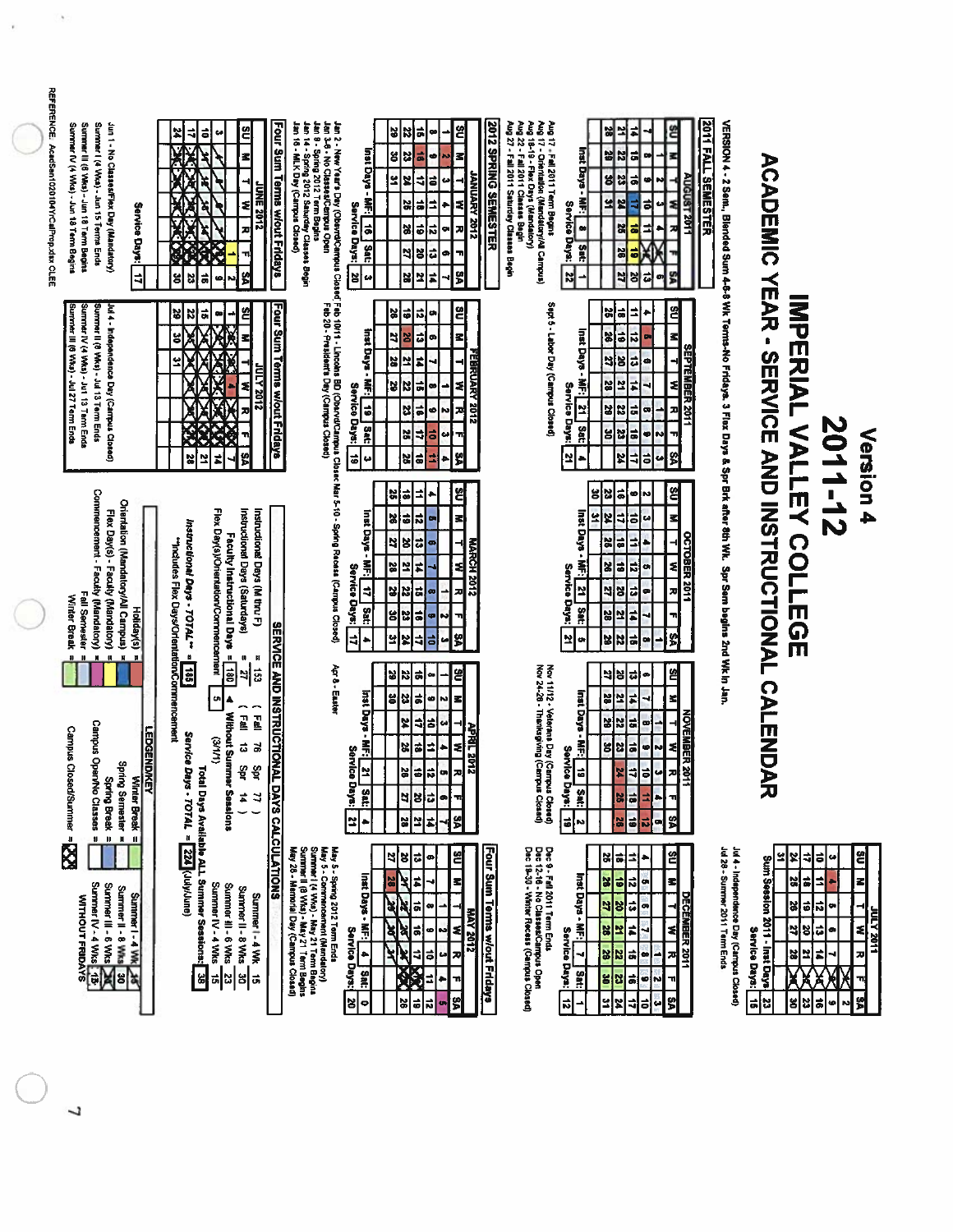| <b>KENGE: AcadSaut020104XrCalProp.Xisx.CLEE</b><br>Summer III (6 Wks) - Jun 18 Term Begins<br>Summer I (4 Wks) - Jun 15 Terms Ends<br>Jun 1 - No Classes/Flex Day (Mandatory)<br>Summer IV (4 Wks) - Jun 18 Term Begins<br>$rac{6}{16}$<br>¥<br>$\ddot{\bullet}$<br>₹<br>ч<br>z<br>ž<br>R<br>Á<br><b>DRVE</b><br>Z<br>ম<br>Service Days:<br>2102<br>ø<br>71<br>S<br>g<br>ă<br>$\ddot{=}$<br>Z<br>ω,                           | Four Sum Terms wiout Fridays<br>Jan 2 - New Year's Day (Obswrd⁄Campus<br>Jan 3-8 - No Classes/Campus Open<br>Jan 9 - Spring 2012 Term Begins<br>Jan 14 - Spring 2012 Saturday Classes Begin<br>Jan 16 - MLK Day (Campus Closed)<br>Inst Days - MF: 16   Sat:<br>Service Days:<br>30<br>u      | <b>2012 SPRING SEMESTER</b><br>읩<br>ᅝ<br>ង<br>E<br>œ<br>g<br>ű<br>з<br>ㅎ<br>۰<br>N<br><b><i>STOS YRANDI</i></b><br>٩<br>E<br>ä<br>₹<br>ω<br>÷,<br>50<br>ä<br>٠<br>z<br>¦≈<br>91<br>X<br>$\vec{\bullet}$<br>æ<br>ã<br>더<br>õ<br>ø<br>28<br>5<br>l≠<br>보<br>N             | <b>2011 FALL SUNESTER</b><br>Aug 18-19 - Flax Days (Mandalory)<br>Aug 22 - Fall 2011 Classes Begin<br>Aug 27 - Fall 2011 Saturday Classes Begin<br>Aug 17 - Fail 2011 Term Begins<br>Aug 17 - Orientation (Mandatory/All Campus)<br>예설<br>≝<br>⋣<br>Inst Days - MF:<br>ã<br>비<br>I۳<br>œ<br>$s_{\mid}$<br>ã<br><b>UGUST 2011</b><br>G<br>뇌보<br>ź<br>₫<br>$\vec{ }$<br>Service Days:<br>z<br>$\overline{1}$<br>25<br>ã<br>Sat:<br>36<br>히<br>S<br>$\overline{\mathbf{z}}$<br>E<br>õ<br><b>S</b><br>œ |                                                                                                                                                                                            |                                                                                                                                                                                                       |
|-------------------------------------------------------------------------------------------------------------------------------------------------------------------------------------------------------------------------------------------------------------------------------------------------------------------------------------------------------------------------------------------------------------------------------|-----------------------------------------------------------------------------------------------------------------------------------------------------------------------------------------------------------------------------------------------------------------------------------------------|-------------------------------------------------------------------------------------------------------------------------------------------------------------------------------------------------------------------------------------------------------------------------|-----------------------------------------------------------------------------------------------------------------------------------------------------------------------------------------------------------------------------------------------------------------------------------------------------------------------------------------------------------------------------------------------------------------------------------------------------------------------------------------------------|--------------------------------------------------------------------------------------------------------------------------------------------------------------------------------------------|-------------------------------------------------------------------------------------------------------------------------------------------------------------------------------------------------------|
| Summer III (6 VWcs) - Jul 27 Term Ends<br>Summer II (8 WKs) - Jul 13 Term Ends<br>Summer IV (4 VAts) - Jut 13 Term Ends<br>Jul 4 - Independence Day (Campus Closed)<br>2<br>29<br>유<br>ĸ<br>œ<br>z<br>g<br>Å<br>쏲<br>210Z ATDI<br>z<br>z<br>Š<br>뗽<br>X<br>보<br>#                                                                                                                                                             | Cheacle Teb 10/11 - Lincolns BD (CharvalCaurgus Closer Mar 5-10 - Spring Recess)<br>Teb 20 - President's Day (Camyus Closed)<br>Space (Separate Day (Camyus Closed)<br>Four Sum Terms w/out Fridays<br>Inst Days - MF:<br>Service<br>$\frac{1}{6}$<br><b>Days:</b><br>sed<br>Sed<br>6<br>u    | <u>ខ</u><br> = <br>예<br>圖<br>٠<br>리<br>네<br>용<br>Z<br>œ<br>FEBRUARY 2012<br>3<br>보<br>B<br>Z<br>ま<br>₹<br>œ<br>X<br>$\vec{ }$<br>N<br>ø<br>겨<br>S.<br>œ<br>₹<br>ಕ<br>읺<br>ã<br>š<br>2<br>٠                                                                              | Sept 5 - Labor Day (Campus Closed)<br>염<br>$\overline{1}$<br>예능<br>٠<br>$\vec{v}$<br>Inst Days<br>$\frac{3}{26}$<br>Z<br><b>SEPTEMBER 2011</b><br>4<br>ä<br>$\frac{25}{25}$<br>œ<br>ź<br>型<br>$\sharp$<br>$rac{2}{3}$<br>Service Days:<br>ä<br>z<br>3 2<br>Ľ<br>œ<br>Sat<br>51<br>비용<br>¢<br>'n<br>쒉<br>2<br>$\overline{1}$<br>ö<br>¥<br>u                                                                                                                                                          | VERSION 4 - 2 Sem, Blended Sum 4-6-8 Wk Terns-No Fridays. 3 Flax Days & Spr Brk after 8th Wk. Spr Sem begins 2nd Wk In Jan.<br><b>ACADEMIC YEAR - SERVICE AND INSTRUCTIONAL CALLEMENTS</b> | IMPERIAL VALLEY COLLEGE<br>2011-12<br>Version 4                                                                                                                                                       |
| Commencement - Faculty (Mandatory)<br>Orientation (Mandatory/All Campus)<br>Flex Day(s)/Orientation/Commencement<br>Instructional Days (Saturdays)<br>Instructional Days (M thru F)<br>Flex Day(s) - Faculty (Mandatory)<br>Instructional Days - TOTAL + =<br>Faculty Instructional Days =<br>"Indudes Flex Days/Orlentation/Cormencement<br>Fall Sernester<br>Winter Break<br>Holiday(s)                                     | Inst Days<br>is<br>En<br>Service Days:<br>$\Rightarrow$<br>Sat:<br>킈<br>۰                                                                                                                                                                                                                     | 옙<br>킈<br>예<br>ē<br>٠<br>s<br>읺<br>ನ<br>z<br>õ<br>P<br>N<br>MARCH 2012<br>28<br>2<br>F<br>처<br>ä<br>B<br>비<br>ᅍ<br>N<br>ã<br>비<br>N<br>X<br>S<br>넢<br>₹<br>る<br>u                                                                                                       | <u>ଖ</u><br>క<br>얺<br>히<br>ø<br>N<br><b>nst Days</b><br>$\ddot{\phantom{a}}$<br>3<br>$\mathbf{z}$<br>¥<br>₫<br>w<br><b>DCTOBER 2011</b><br>킈<br>õ<br>ä<br>٠<br>ź<br>Ş<br>X<br>E<br>$\vec{ }$<br>ø<br>Service Days:<br>43<br>æ<br>뎨<br>ø<br>S,<br>보<br>å<br>얾<br>#<br>2<br>T,<br>s.<br>보<br>53<br>ä<br>œ<br>22<br>œ                                                                                                                                                                                  |                                                                                                                                                                                            |                                                                                                                                                                                                       |
| $\mathbf{u}$<br>$\,$ H<br>Ħ<br>$\mathbf{u}$<br>$\mathbf{u}$<br>$\pmb{\mathfrak{m}}$<br>e<br>185<br>ᆀ<br>Eg1<br>un <br>(Fall<br>ר<br>בַּתַּ<br>Without Summer Sessions<br>Campus Open/No Cl.<br><b>Campus Closed/Summer</b><br>LEDGEND/KEY<br>Service Days - TOTAL =<br>(111)<br>$\vec{\omega}$<br>$\vec{a}$<br>Spring Semester =<br>Spring Break =<br>Open/No Classes =<br>Şpr<br>ै।<br>बै<br>¥,<br>4<br>Break<br>$\check{~}$ | <b>SERVICE AND INSTRUCTIONAL DAYS</b><br>Apr 8 - Easter<br>inst Days -<br>Ā<br>Service Days:<br>보<br>Satz<br>$\mathbf{z}$<br>٠                                                                                                                                                                | g<br>2<br>$\vec{ }$<br>예<br>œ<br>$\overrightarrow{ }$<br>섭<br>z<br>g<br>ø<br>k.<br>ᆌ<br>X<br>ã<br>64<br><b>APRIL 2012</b><br>ä<br>ź<br>넗<br>$\ddot{\bullet}$<br>æ<br>26<br>õ<br>œ<br> 비치리<br>ᆔ<br>۰<br>\$<br>읿<br>Ľ<br>r,                                               | Nov 11/12 - Veterans Day (Campus Closed)<br>Nov 24-26 - Thenksgiving (Campus Closed)<br>염<br>예<br>¦≈<br>ø<br>Inst Days -<br>$\frac{2}{36}$<br>E<br>×<br>NOVEMBER 2011<br>ឌ¦្ឍ<br>la.<br>œ<br>R<br>≢<br>비용<br>ã<br>G<br>N<br>Service Days:<br>$\ddot{\bullet}$<br>ö<br>P<br>ᆟ<br>G<br>지<br><b>Sat:</b><br>÷<br>이러<br>٠<br>可<br>S<br>$\vec{a}$<br>$\overline{\bullet}$<br>뉴<br>l8<br><b>N</b><br>œ                                                                                                    |                                                                                                                                                                                            |                                                                                                                                                                                                       |
| <b>Total Days Available ALL Summer Sessions:</b><br>$\blacksquare$<br>л<br>224 (July/June)<br>X<br>Summer IV - 4 Wks 15<br>Summer III - 6 Wks<br>Summer III - 6 Wks<br>Summer IV - 4 Wks<br>Summer II - 8 Wiks<br>Summer II - 8 Wks<br>Summer I - 4 Wk 15<br>Summer I - 4 Wk<br><b>WITHOUT FRIDAYS</b><br>$\overline{\mathbf{r}}$<br>χΓ<br>ង ឌ ឝ<br>히                                                                         | <b>CALCULATIONS</b><br>May 5 - Spring 2012 Term Ends<br>May 5 - Corremoncentent (Mandalory)<br>Surmer I (4 Wks) - May 21 Term Begins<br>Surmter II (8 Wks) - May 21 Term Begins<br>May 28 - Memorial Day (Campus Closed)<br>Inst Days - MF:<br>Service Days:<br>ام <br>Satt<br><b>s</b><br> o | Four Sum Terms w/out Fridays<br><u>es</u><br>ã<br>[ଞ <br>9<br>ø<br>$\blacksquare$<br>$\sharp$<br>צ<br>に<br>ā<br>œ<br><b>AAY 2012</b><br>ଽ<br>ã<br>ষ্ণ<br>ø<br>N<br>70<br>ጟ<br>¢<br>ã<br>圈<br>n<br>$\overline{1}$<br>ष्ट्र<br>प्र<br>$\ddot{\phantom{0}}$<br>圆<br>ಸ<br>o | Dec 9 - Fall 2011 Term Ends<br>Dec 12-16 - No Classes/Campus Open<br>Dec 19-30 - Winter Recess (Campus Closed)<br>≌<br>ã<br>x<br>킈<br>٠<br>Inst Days -<br>œ<br>X<br>61<br>되<br>$\overline{\mathbf{r}}$<br>DECEMBER 2011<br>9<br>g<br>급<br>œ<br>$\frac{2}{3}$<br>38<br>হা<br>Ľ<br>F<br>ч<br><b>Service</b><br>⊣<br>¥<br>Z<br>a,<br>œ<br>ᄍ<br>pays:<br>Sat:<br>g<br><b>Z</b><br>$\vec{a}$<br>ö<br>Ñ<br>¥<br>뵈<br>떩<br>$\overline{5}$<br>히<br>ᆌ<br>∸<br>ی                                              | Jul 28 - Sunrmer 2011 Term Ends<br>Jul 4 - Independence Day (Campus Closed)<br>Sum Session 2011 - Inst Days<br>Service Days:<br>럷<br> ဗ                                                    | <u>임</u><br>Ľ<br>ᅨ<br>õ<br>뇌<br>u<br>z<br>ã<br>₿<br>×<br>ð.<br>히<br>ಸ<br>얺<br>o<br>こころ メリクト<br>의도<br>$\vec{v}$<br>≉<br>ø<br>직<br>t<br>28<br><b>J</b><br>Ă<br>×<br>71<br>ys.<br>ã<br>2<br>ام<br>똥<br>ø |

 $\overline{L}$ 

REFER